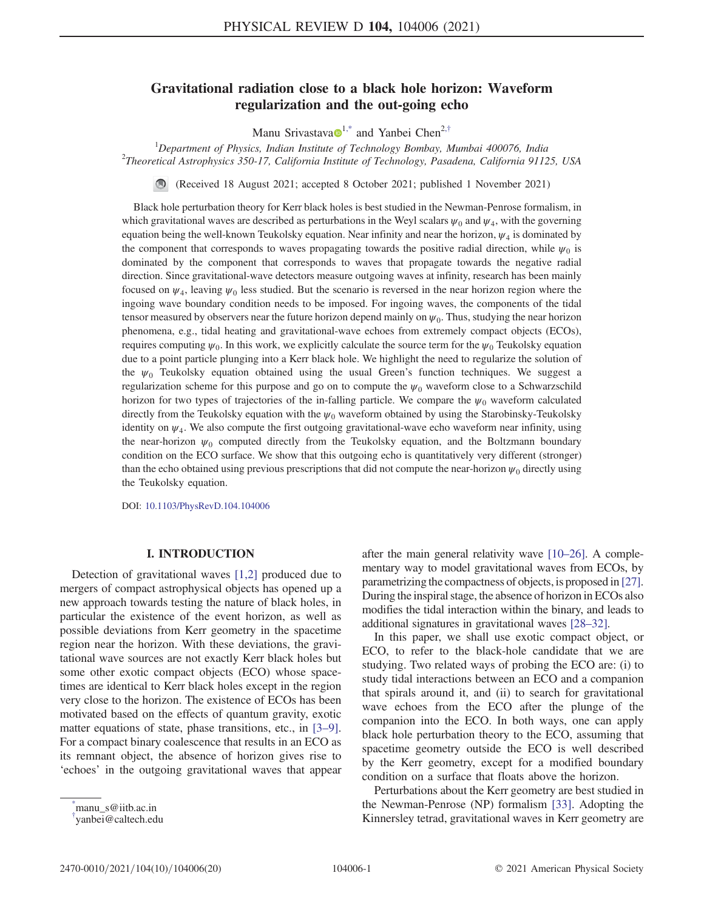# Gravitational radiation close to a black hole horizon: Waveform regularization and the out-going echo

Manu Srivastava $\mathbf{D}^{1,*}$  $\mathbf{D}^{1,*}$  $\mathbf{D}^{1,*}$  $\mathbf{D}^{1,*}$  and Yanbei Chen<sup>2,[†](#page-0-1)</sup>

<span id="page-0-2"></span><sup>1</sup> Department of Physics, Indian Institute of Technology Bombay, Mumbai 400076, India<br><sup>2</sup>Theoretical Astrophysics 350, 17, California Institute of Technology, Basedana, California 0112  $^{2}$ Theoretical Astrophysics 350-17, California Institute of Technology, Pasadena, California 91125, USA

(Received 18 August 2021; accepted 8 October 2021; published 1 November 2021)

Black hole perturbation theory for Kerr black holes is best studied in the Newman-Penrose formalism, in which gravitational waves are described as perturbations in the Weyl scalars  $\psi_0$  and  $\psi_4$ , with the governing equation being the well-known Teukolsky equation. Near infinity and near the horizon,  $\psi_4$  is dominated by the component that corresponds to waves propagating towards the positive radial direction, while  $\psi_0$  is dominated by the component that corresponds to waves that propagate towards the negative radial direction. Since gravitational-wave detectors measure outgoing waves at infinity, research has been mainly focused on  $\psi_4$ , leaving  $\psi_0$  less studied. But the scenario is reversed in the near horizon region where the ingoing wave boundary condition needs to be imposed. For ingoing waves, the components of the tidal tensor measured by observers near the future horizon depend mainly on  $\psi_0$ . Thus, studying the near horizon phenomena, e.g., tidal heating and gravitational-wave echoes from extremely compact objects (ECOs), requires computing  $\psi_0$ . In this work, we explicitly calculate the source term for the  $\psi_0$  Teukolsky equation due to a point particle plunging into a Kerr black hole. We highlight the need to regularize the solution of the  $\psi_0$  Teukolsky equation obtained using the usual Green's function techniques. We suggest a regularization scheme for this purpose and go on to compute the  $\psi_0$  waveform close to a Schwarzschild horizon for two types of trajectories of the in-falling particle. We compare the  $\psi_0$  waveform calculated directly from the Teukolsky equation with the  $\psi_0$  waveform obtained by using the Starobinsky-Teukolsky identity on  $\psi_4$ . We also compute the first outgoing gravitational-wave echo waveform near infinity, using the near-horizon  $\psi_0$  computed directly from the Teukolsky equation, and the Boltzmann boundary condition on the ECO surface. We show that this outgoing echo is quantitatively very different (stronger) than the echo obtained using previous prescriptions that did not compute the near-horizon  $\psi_0$  directly using the Teukolsky equation.

DOI: [10.1103/PhysRevD.104.104006](https://doi.org/10.1103/PhysRevD.104.104006)

## I. INTRODUCTION

Detection of gravitational waves [[1](#page-18-0)[,2\]](#page-18-1) produced due to mergers of compact astrophysical objects has opened up a new approach towards testing the nature of black holes, in particular the existence of the event horizon, as well as possible deviations from Kerr geometry in the spacetime region near the horizon. With these deviations, the gravitational wave sources are not exactly Kerr black holes but some other exotic compact objects (ECO) whose spacetimes are identical to Kerr black holes except in the region very close to the horizon. The existence of ECOs has been motivated based on the effects of quantum gravity, exotic matter equations of state, phase transitions, etc., in [\[3](#page-18-2)–[9](#page-18-3)]. For a compact binary coalescence that results in an ECO as its remnant object, the absence of horizon gives rise to 'echoes' in the outgoing gravitational waves that appear after the main general relativity wave [[10](#page-18-4)–[26\]](#page-19-0). A complementary way to model gravitational waves from ECOs, by parametrizing the compactness of objects, is proposed in [[27](#page-19-1)]. During the inspiral stage, the absence of horizon in ECOs also modifies the tidal interaction within the binary, and leads to additional signatures in gravitational waves [\[28](#page-19-2)–[32](#page-19-3)].

In this paper, we shall use exotic compact object, or ECO, to refer to the black-hole candidate that we are studying. Two related ways of probing the ECO are: (i) to study tidal interactions between an ECO and a companion that spirals around it, and (ii) to search for gravitational wave echoes from the ECO after the plunge of the companion into the ECO. In both ways, one can apply black hole perturbation theory to the ECO, assuming that spacetime geometry outside the ECO is well described by the Kerr geometry, except for a modified boundary condition on a surface that floats above the horizon.

Perturbations about the Kerr geometry are best studied in the Newman-Penrose (NP) formalism [\[33\]](#page-19-4). Adopting the Kinnersley tetrad, gravitational waves in Kerr geometry are

<span id="page-0-0"></span>[<sup>\\*</sup>](#page-0-2) manu\_s@iitb.ac.in

<span id="page-0-1"></span>[<sup>†</sup>](#page-0-2) yanbei@caltech.edu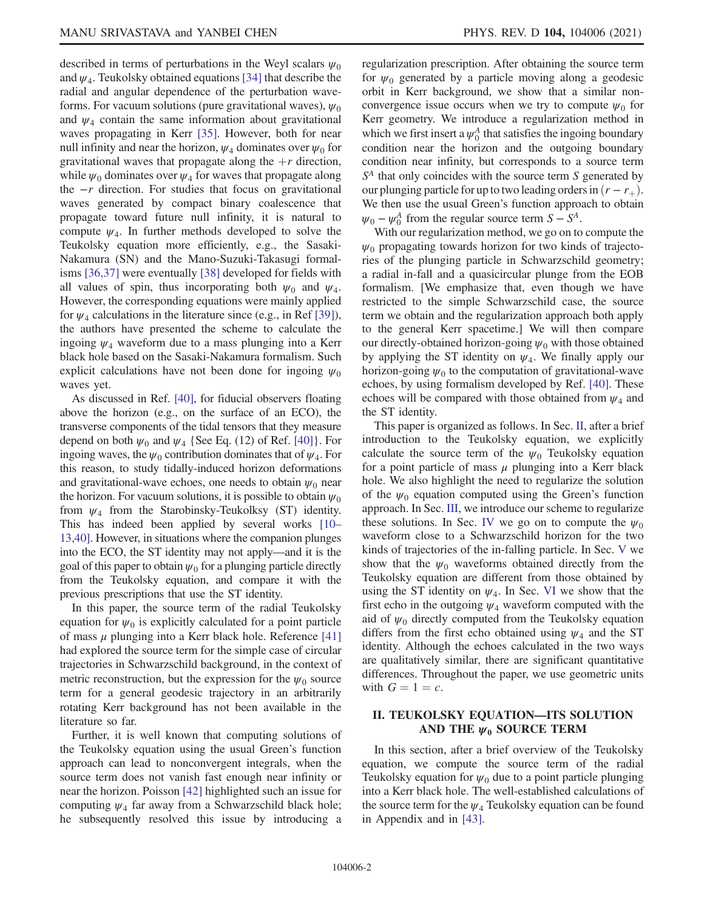described in terms of perturbations in the Weyl scalars  $\psi_0$ and  $\psi_4$ . Teukolsky obtained equations [\[34\]](#page-19-5) that describe the radial and angular dependence of the perturbation waveforms. For vacuum solutions (pure gravitational waves),  $\psi_0$ and  $\psi_4$  contain the same information about gravitational waves propagating in Kerr [[35](#page-19-6)]. However, both for near null infinity and near the horizon,  $\psi_4$  dominates over  $\psi_0$  for gravitational waves that propagate along the  $+r$  direction, while  $\psi_0$  dominates over  $\psi_4$  for waves that propagate along the  $-r$  direction. For studies that focus on gravitational waves generated by compact binary coalescence that propagate toward future null infinity, it is natural to compute  $\psi_4$ . In further methods developed to solve the Teukolsky equation more efficiently, e.g., the Sasaki-Nakamura (SN) and the Mano-Suzuki-Takasugi formalisms [[36](#page-19-7),[37](#page-19-8)] were eventually [[38](#page-19-9)] developed for fields with all values of spin, thus incorporating both  $\psi_0$  and  $\psi_4$ . However, the corresponding equations were mainly applied for  $\psi_4$  calculations in the literature since (e.g., in Ref [\[39\]](#page-19-10)), the authors have presented the scheme to calculate the ingoing  $\psi_4$  waveform due to a mass plunging into a Kerr black hole based on the Sasaki-Nakamura formalism. Such explicit calculations have not been done for ingoing  $\psi_0$ waves yet.

As discussed in Ref. [[40](#page-19-11)], for fiducial observers floating above the horizon (e.g., on the surface of an ECO), the transverse components of the tidal tensors that they measure depend on both  $\psi_0$  and  $\psi_4$  {See Eq. (12) of Ref. [\[40](#page-19-11)]}. For ingoing waves, the  $\psi_0$  contribution dominates that of  $\psi_4$ . For this reason, to study tidally-induced horizon deformations and gravitational-wave echoes, one needs to obtain  $\psi_0$  near the horizon. For vacuum solutions, it is possible to obtain  $\psi_0$ from  $\psi_4$  from the Starobinsky-Teukolksy (ST) identity. This has indeed been applied by several works [[10](#page-18-4)– [13](#page-18-5)[,40](#page-19-11)]. However, in situations where the companion plunges into the ECO, the ST identity may not apply—and it is the goal of this paper to obtain  $\psi_0$  for a plunging particle directly from the Teukolsky equation, and compare it with the previous prescriptions that use the ST identity.

In this paper, the source term of the radial Teukolsky equation for  $\psi_0$  is explicitly calculated for a point particle of mass  $\mu$  plunging into a Kerr black hole. Reference [\[41\]](#page-19-12) had explored the source term for the simple case of circular trajectories in Schwarzschild background, in the context of metric reconstruction, but the expression for the  $\psi_0$  source term for a general geodesic trajectory in an arbitrarily rotating Kerr background has not been available in the literature so far.

Further, it is well known that computing solutions of the Teukolsky equation using the usual Green's function approach can lead to nonconvergent integrals, when the source term does not vanish fast enough near infinity or near the horizon. Poisson [\[42\]](#page-19-13) highlighted such an issue for computing  $\psi_4$  far away from a Schwarzschild black hole; he subsequently resolved this issue by introducing a regularization prescription. After obtaining the source term for  $\psi_0$  generated by a particle moving along a geodesic orbit in Kerr background, we show that a similar nonconvergence issue occurs when we try to compute  $\psi_0$  for Kerr geometry. We introduce a regularization method in which we first insert a  $\psi_0^A$  that satisfies the ingoing boundary condition near the horizon and the outgoing boundary condition near infinity, but corresponds to a source term  $S<sup>A</sup>$  that only coincides with the source term S generated by our plunging particle for up to two leading orders in  $(r - r_+)$ . We then use the usual Green's function approach to obtain  $\psi_0 - \psi_0^A$  from the regular source term  $S - S^A$ .

With our regularization method, we go on to compute the  $\psi_0$  propagating towards horizon for two kinds of trajectories of the plunging particle in Schwarzschild geometry; a radial in-fall and a quasicircular plunge from the EOB formalism. [We emphasize that, even though we have restricted to the simple Schwarzschild case, the source term we obtain and the regularization approach both apply to the general Kerr spacetime.] We will then compare our directly-obtained horizon-going  $\psi_0$  with those obtained by applying the ST identity on  $\psi_4$ . We finally apply our horizon-going  $\psi_0$  to the computation of gravitational-wave echoes, by using formalism developed by Ref. [[40](#page-19-11)]. These echoes will be compared with those obtained from  $\psi_4$  and the ST identity.

This paper is organized as follows. In Sec. [II,](#page-1-0) after a brief introduction to the Teukolsky equation, we explicitly calculate the source term of the  $\psi_0$  Teukolsky equation for a point particle of mass  $\mu$  plunging into a Kerr black hole. We also highlight the need to regularize the solution of the  $\psi_0$  equation computed using the Green's function approach. In Sec. [III,](#page-4-0) we introduce our scheme to regularize these solutions. In Sec. [IV](#page-5-0) we go on to compute the  $\psi_0$ waveform close to a Schwarzschild horizon for the two kinds of trajectories of the in-falling particle. In Sec. [V](#page-7-0) we show that the  $\psi_0$  waveforms obtained directly from the Teukolsky equation are different from those obtained by using the ST identity on  $\psi_4$ . In Sec. [VI](#page-8-0) we show that the first echo in the outgoing  $\psi_4$  waveform computed with the aid of  $\psi_0$  directly computed from the Teukolsky equation differs from the first echo obtained using  $\psi_4$  and the ST identity. Although the echoes calculated in the two ways are qualitatively similar, there are significant quantitative differences. Throughout the paper, we use geometric units with  $G = 1 = c$ .

# <span id="page-1-0"></span>II. TEUKOLSKY EQUATION—ITS SOLUTION AND THE  $\psi_0$  SOURCE TERM

In this section, after a brief overview of the Teukolsky equation, we compute the source term of the radial Teukolsky equation for  $\psi_0$  due to a point particle plunging into a Kerr black hole. The well-established calculations of the source term for the  $\psi_4$  Teukolsky equation can be found in Appendix and in [\[43\]](#page-19-14).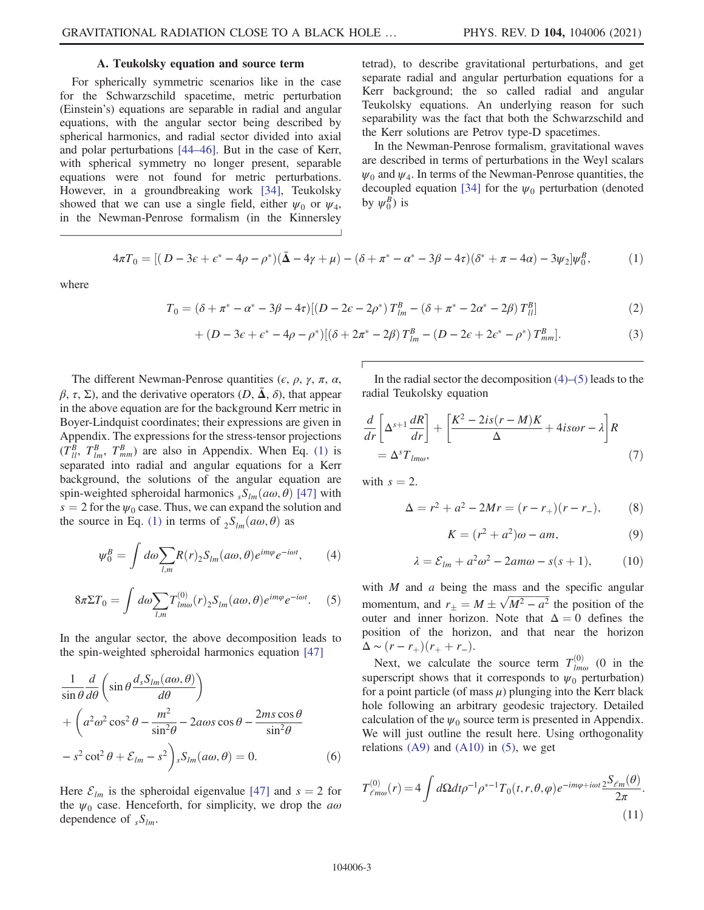## A. Teukolsky equation and source term

For spherically symmetric scenarios like in the case for the Schwarzschild spacetime, metric perturbation (Einstein's) equations are separable in radial and angular equations, with the angular sector being described by spherical harmonics, and radial sector divided into axial and polar perturbations [\[44](#page-19-15)–[46](#page-19-16)]. But in the case of Kerr, with spherical symmetry no longer present, separable equations were not found for metric perturbations. However, in a groundbreaking work [\[34\]](#page-19-5), Teukolsky showed that we can use a single field, either  $\psi_0$  or  $\psi_4$ , in the Newman-Penrose formalism (in the Kinnersley

tetrad), to describe gravitational perturbations, and get separate radial and angular perturbation equations for a Kerr background; the so called radial and angular Teukolsky equations. An underlying reason for such separability was the fact that both the Schwarzschild and the Kerr solutions are Petrov type-D spacetimes.

In the Newman-Penrose formalism, gravitational waves are described in terms of perturbations in the Weyl scalars  $\psi_0$  and  $\psi_4$ . In terms of the Newman-Penrose quantities, the decoupled equation [[34\]](#page-19-5) for the  $\psi_0$  perturbation (denoted by  $\psi_0^B$ ) is

<span id="page-2-0"></span>
$$
4\pi T_0 = [(D - 3\epsilon + \epsilon^* - 4\rho - \rho^*)(\bar{\Delta} - 4\gamma + \mu) - (\delta + \pi^* - \alpha^* - 3\beta - 4\tau)(\delta^* + \pi - 4\alpha) - 3\psi_2]\psi_0^B, \tag{1}
$$

where

$$
T_0 = (\delta + \pi^* - \alpha^* - 3\beta - 4\tau)[(D - 2\epsilon - 2\rho^*) T_{lm}^B - (\delta + \pi^* - 2\alpha^* - 2\beta) T_{ll}^B]
$$
 (2)

+ 
$$
(D - 3\varepsilon + \varepsilon^* - 4\rho - \rho^*)[(\delta + 2\pi^* - 2\beta) T_{lm}^B - (D - 2\varepsilon + 2\varepsilon^* - \rho^*) T_{mm}^B].
$$
 (3)

The different Newman-Penrose quantities ( $\epsilon$ ,  $\rho$ ,  $\gamma$ ,  $\pi$ ,  $\alpha$ ,  $\beta$ ,  $\tau$ ,  $\Sigma$ ), and the derivative operators  $(D, \bar{\Delta}, \delta)$ , that appear in the above equation are for the background Kerr metric in Boyer-Lindquist coordinates; their expressions are given in Appendix. The expressions for the stress-tensor projections  $(T_{ll}^{B}, T_{lm}^{B}, T_{mm}^{B})$  are also in Appendix. When Eq. [\(1\)](#page-2-0) is separated into radial and angular equations for a Kerr background, the solutions of the angular equation are spin-weighted spheroidal harmonics  $sS_{lm}(a\omega, \theta)$  [[47](#page-19-17)] with  $s = 2$  for the  $\psi_0$  case. Thus, we can expand the solution and the source in Eq. [\(1\)](#page-2-0) in terms of  ${}_{2}S_{lm}(a\omega,\theta)$  as

<span id="page-2-1"></span>
$$
\psi_0^B = \int d\omega \sum_{l,m} R(r)_2 S_{lm}(a\omega,\theta) e^{im\varphi} e^{-i\omega t}, \qquad (4)
$$

<span id="page-2-2"></span>
$$
8\pi \Sigma T_0 = \int d\omega \sum_{l,m} T_{lm\omega}^{(0)}(r)_2 S_{lm}(a\omega,\theta) e^{im\varphi} e^{-i\omega t}.
$$
 (5)

In the angular sector, the above decomposition leads to the spin-weighted spheroidal harmonics equation [[47](#page-19-17)]

$$
\frac{1}{\sin\theta} \frac{d}{d\theta} \left( \sin\theta \frac{d_s S_{lm}(a\omega,\theta)}{d\theta} \right) \n+ \left( a^2 \omega^2 \cos^2\theta - \frac{m^2}{\sin^2\theta} - 2a\omega s \cos\theta - \frac{2ms \cos\theta}{\sin^2\theta} \right) \n- s^2 \cot^2\theta + \mathcal{E}_{lm} - s^2 \right) s S_{lm}(a\omega,\theta) = 0.
$$
\n(6)

Here  $\mathcal{E}_{lm}$  is the spheroidal eigenvalue [[47](#page-19-17)] and  $s = 2$  for the  $\psi_0$  case. Henceforth, for simplicity, we drop the  $a\omega$ dependence of  ${}_sS_{lm}$ .

<span id="page-2-4"></span>In the radial sector the decomposition  $(4)$ – $(5)$  leads to the radial Teukolsky equation

$$
\frac{d}{dr}\left[\Delta^{s+1}\frac{dR}{dr}\right] + \left[\frac{K^2 - 2is(r - M)K}{\Delta} + 4is\omega r - \lambda\right]R
$$
\n
$$
= \Delta^s T_{lm\omega},\tag{7}
$$

with  $s = 2$ .

$$
\Delta = r^2 + a^2 - 2Mr = (r - r_+)(r - r_-),
$$
 (8)

$$
K = (r^2 + a^2)\omega - am,\t\t(9)
$$

$$
\lambda = \mathcal{E}_{lm} + a^2 \omega^2 - 2am\omega - s(s+1), \tag{10}
$$

with  $M$  and  $a$  being the mass and the specific angular momentum, and  $r_{\pm} = M \pm \sqrt{M^2 - a^2}$  the position of the outer and inner horizon. Note that  $\Delta = 0$  defines the outer and inner horizon. Note that  $\Delta = 0$  defines the position of the horizon, and that near the horizon  $\Delta \sim (r-r_+)(r_+ + r_-).$ 

<span id="page-2-3"></span>Next, we calculate the source term  $T_{lm\omega}^{(0)}$  (0 in the superscript shows that it corresponds to  $\psi_0$  perturbation) for a point particle (of mass  $\mu$ ) plunging into the Kerr black hole following an arbitrary geodesic trajectory. Detailed calculation of the  $\psi_0$  source term is presented in Appendix. We will just outline the result here. Using orthogonality relations  $(A9)$  and  $(A10)$  in  $(5)$ , we get

$$
T^{(0)}_{\ell m\omega}(r) = 4 \int d\Omega dt \rho^{-1} \rho^{*-1} T_0(t, r, \theta, \varphi) e^{-im\varphi + i\omega t} \frac{2S_{\ell m}(\theta)}{2\pi}.
$$
\n(11)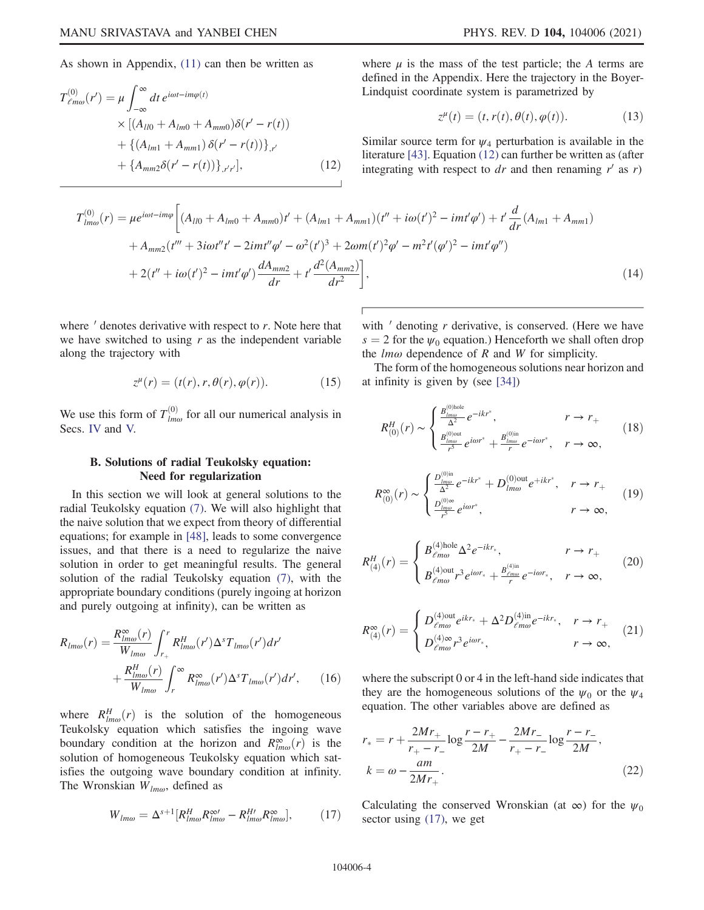<span id="page-3-0"></span>As shown in Appendix, [\(11\)](#page-2-3) can then be written as

$$
T^{(0)}_{\ell m\omega}(r') = \mu \int_{-\infty}^{\infty} dt \, e^{i\omega t - im\varphi(t)} \times \left[ (A_{l0} + A_{lm0} + A_{mm0}) \delta(r' - r(t)) + \left\{ (A_{lm1} + A_{mm1}) \delta(r' - r(t)) \right\}_{,r'} + \left\{ A_{mm2} \delta(r' - r(t)) \right\}_{,r'r'} \right], \tag{12}
$$

where  $\mu$  is the mass of the test particle; the A terms are defined in the Appendix. Here the trajectory in the Boyer-Lindquist coordinate system is parametrized by

$$
z^{\mu}(t) = (t, r(t), \theta(t), \varphi(t)).
$$
\n(13)

Similar source term for  $\psi_4$  perturbation is available in the literature [[43](#page-19-14)]. Equation [\(12\)](#page-3-0) can further be written as (after integrating with respect to dr and then renaming  $r'$  as r)

<span id="page-3-2"></span>
$$
T_{lm\omega}^{(0)}(r) = \mu e^{i\omega t - im\varphi} \left[ (A_{ll0} + A_{lm0} + A_{mm0})t' + (A_{lm1} + A_{mm1})(t'' + i\omega(t')^2 - imt'\varphi') + t'\frac{d}{dr}(A_{lm1} + A_{mm1}) + A_{mm2}(t''' + 3i\omega t''t' - 2imt'\varphi' - \omega^2(t')^3 + 2\omega m(t')^2\varphi' - m^2t'(\varphi')^2 - imt'\varphi'') \right] + 2(t'' + i\omega(t')^2 - imt'\varphi')\frac{dA_{mm2}}{dr} + t'\frac{d^2(A_{mm2})}{dr^2} \right],
$$
 (14)

where  $\prime$  denotes derivative with respect to  $r$ . Note here that we have switched to using  $r$  as the independent variable along the trajectory with

$$
z^{\mu}(r) = (t(r), r, \theta(r), \varphi(r)).
$$
 (15)

We use this form of  $T^{(0)}_{lm\omega}$  for all our numerical analysis in Secs. [IV](#page-5-0) and [V.](#page-7-0)

# B. Solutions of radial Teukolsky equation: Need for regularization

In this section we will look at general solutions to the radial Teukolsky equation [\(7\)](#page-2-4). We will also highlight that the naive solution that we expect from theory of differential equations; for example in [\[48\]](#page-19-18), leads to some convergence issues, and that there is a need to regularize the naive solution in order to get meaningful results. The general solution of the radial Teukolsky equation [\(7\),](#page-2-4) with the appropriate boundary conditions (purely ingoing at horizon and purely outgoing at infinity), can be written as

<span id="page-3-3"></span>
$$
R_{lm\omega}(r) = \frac{R_{lm\omega}^{\infty}(r)}{W_{lm\omega}} \int_{r_+}^{r} R_{lm\omega}^H(r') \Delta^s T_{lm\omega}(r') dr' + \frac{R_{lm\omega}^H(r)}{W_{lm\omega}} \int_{r}^{\infty} R_{lm\omega}^{\infty}(r') \Delta^s T_{lm\omega}(r') dr', \qquad (16)
$$

<span id="page-3-1"></span>where  $R_{lm\omega}^H(r)$  is the solution of the homogeneous<br>Teukolsky equation which satisfies the ingoing wave Teukolsky equation which satisfies the ingoing wave boundary condition at the horizon and  $R^{\infty}_{lm\omega}(r)$  is the solution of homogeneous Teukolsky equation which satsolution of homogeneous Teukolsky equation which satisfies the outgoing wave boundary condition at infinity. The Wronskian  $W_{lm\omega}$ , defined as

$$
W_{lm\omega} = \Delta^{s+1} [R^H_{lm\omega} R^{\infty}_{lm\omega} - R^{H\prime}_{lm\omega} R^{\infty}_{lm\omega}], \qquad (17)
$$

with  $\prime$  denoting  $r$  derivative, is conserved. (Here we have  $s = 2$  for the  $\psi_0$  equation.) Henceforth we shall often drop the  $lm\omega$  dependence of R and W for simplicity.

The form of the homogeneous solutions near horizon and at infinity is given by (see [[34](#page-19-5)])

$$
R_{(0)}^{H}(r) \sim \begin{cases} \frac{B_{lm\omega}^{(0)\text{hole}}}{\Delta^{2}} e^{-ikr^{*}}, & r \to r_{+} \\ \frac{B_{lm\omega}^{(0)\text{out}}}{r^{2}} e^{i\omega r^{*}} + \frac{B_{lm\omega}^{(0)\text{in}}}{r} e^{-i\omega r^{*}}, & r \to \infty, \end{cases}
$$
(18)

$$
R_{(0)}^{\infty}(r) \sim \begin{cases} \frac{D_{lm\omega}^{(0)\text{in}}}{\Delta^2} e^{-ikr^*} + D_{lm\omega}^{(0)\text{out}} e^{+ikr^*}, & r \to r_+\\ \frac{D_{lm\omega}^{(0)\infty}}{r^3} e^{i\omega r^*}, & r \to \infty, \end{cases}
$$
(19)

$$
R_{(4)}^H(r) = \begin{cases} B_{\ell m\omega}^{(4)\text{hole}} \Delta^2 e^{-ikr_*}, & r \to r_+\\ B_{\ell m\omega}^{(4)\text{out}} r^3 e^{i\omega r_*} + \frac{B_{\ell m\omega}^{(4)\text{in}}}{r} e^{-i\omega r_*}, & r \to \infty, \end{cases}
$$
(20)

<span id="page-3-5"></span>
$$
R_{(4)}^{\infty}(r) = \begin{cases} D_{\ell m\omega}^{(4)\text{out}} e^{ikr_{*}} + \Delta^{2} D_{\ell m\omega}^{(4)\text{in}} e^{-ikr_{*}}, & r \to r_{+} \\ D_{\ell m\omega}^{(4)\infty} r^{3} e^{i\omega r_{*}}, & r \to \infty, \end{cases}
$$
 (21)

<span id="page-3-6"></span>where the subscript 0 or 4 in the left-hand side indicates that they are the homogeneous solutions of the  $\psi_0$  or the  $\psi_4$ equation. The other variables above are defined as

$$
r_{*} = r + \frac{2Mr_{+}}{r_{+} - r_{-}} \log \frac{r - r_{+}}{2M} - \frac{2Mr_{-}}{r_{+} - r_{-}} \log \frac{r - r_{-}}{2M},
$$
  
\n
$$
k = \omega - \frac{am}{2Mr_{+}}.
$$
\n(22)

<span id="page-3-4"></span>Calculating the conserved Wronskian (at  $\infty$ ) for the  $\psi_0$ sector using [\(17\),](#page-3-1) we get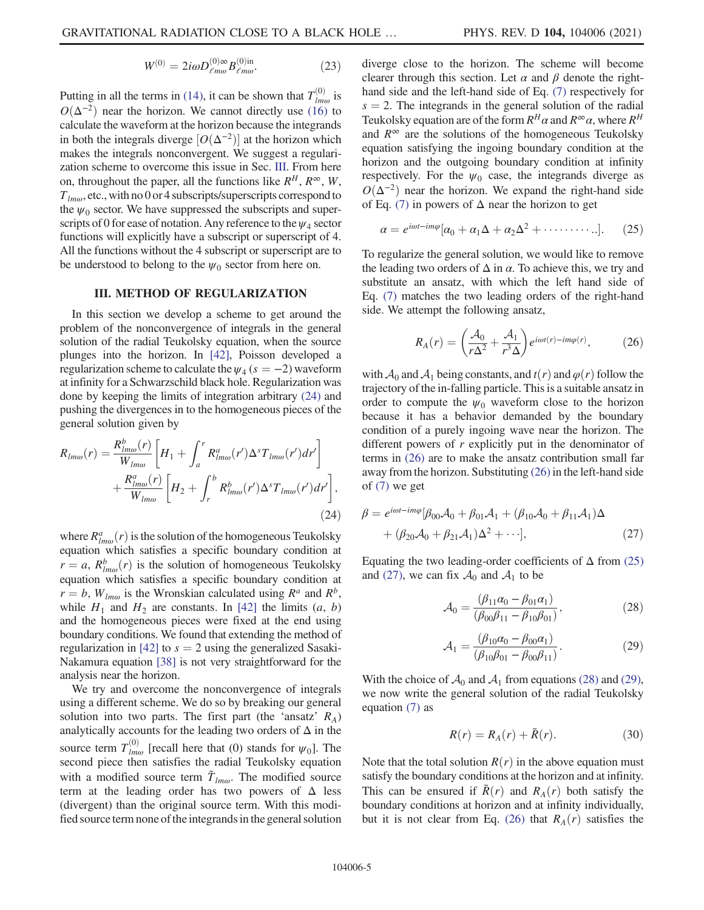$$
W^{(0)} = 2i\omega D_{\ell m\omega}^{(0)\infty} B_{\ell m\omega}^{(0)\text{in}}.
$$
 (23)

Putting in all the terms in [\(14\)](#page-3-2), it can be shown that  $T_{lm\omega}^{(0)}$  is  $O(\Delta^{-2})$  near the horizon. We cannot directly use [\(16\)](#page-3-3) to calculate the waveform at the horizon because the integrands in both the integrals diverge  $[O(\Delta^{-2})]$  at the horizon which makes the integrals nonconvergent. We suggest a regularization scheme to overcome this issue in Sec. [III.](#page-4-0) From here on, throughout the paper, all the functions like  $R^H$ ,  $R^{\infty}$ ,  $W$ ,  $T_{lm\omega}$ , etc., with no 0 or 4 subscripts/superscripts correspond to the  $\psi_0$  sector. We have suppressed the subscripts and superscripts of 0 for ease of notation. Any reference to the  $\psi_4$  sector functions will explicitly have a subscript or superscript of 4. All the functions without the 4 subscript or superscript are to be understood to belong to the  $\psi_0$  sector from here on.

### III. METHOD OF REGULARIZATION

<span id="page-4-0"></span>In this section we develop a scheme to get around the problem of the nonconvergence of integrals in the general solution of the radial Teukolsky equation, when the source plunges into the horizon. In [[42](#page-19-13)], Poisson developed a regularization scheme to calculate the  $\psi_4$  (s = -2) waveform at infinity for a Schwarzschild black hole. Regularization was done by keeping the limits of integration arbitrary [\(24\)](#page-4-1) and pushing the divergences in to the homogeneous pieces of the general solution given by

<span id="page-4-1"></span>
$$
R_{lm\omega}(r) = \frac{R_{lm\omega}^b(r)}{W_{lm\omega}} \left[ H_1 + \int_a^r R_{lm\omega}^a(r') \Delta^s T_{lm\omega}(r') dr' \right] + \frac{R_{lm\omega}^a(r)}{W_{lm\omega}} \left[ H_2 + \int_r^b R_{lm\omega}^b(r') \Delta^s T_{lm\omega}(r') dr' \right],
$$
\n(24)

where  $R_{\text{lm}\omega}^a(r)$  is the solution of the homogeneous Teukolsky<br>equation which satisfies a specific boundary condition at equation which satisfies a specific boundary condition at  $r = a$ ,  $R_{lm\omega}^b(r)$  is the solution of homogeneous Teukolsky<br>equation which satisfies a specific boundary condition at equation which satisfies a specific boundary condition at  $r = b$ ,  $W_{lm\omega}$  is the Wronskian calculated using  $R^a$  and  $R^b$ , while  $H_1$  and  $H_2$  are constants. In [[42](#page-19-13)] the limits  $(a, b)$ and the homogeneous pieces were fixed at the end using boundary conditions. We found that extending the method of regularization in [[42\]](#page-19-13) to  $s = 2$  using the generalized Sasaki-Nakamura equation [\[38\]](#page-19-9) is not very straightforward for the analysis near the horizon.

We try and overcome the nonconvergence of integrals using a different scheme. We do so by breaking our general solution into two parts. The first part (the 'ansatz'  $R_A$ ) analytically accounts for the leading two orders of  $\Delta$  in the source term  $T_{lm\omega}^{(0)}$  [recall here that (0) stands for  $\psi_0$ ]. The second piece then satisfies the radial Teukolsky equation with a modified source term  $\tilde{T}_{lm\omega}$ . The modified source term at the leading order has two powers of  $\Delta$  less (divergent) than the original source term. With this modified source term none of the integrands in the general solution diverge close to the horizon. The scheme will become clearer through this section. Let  $\alpha$  and  $\beta$  denote the righthand side and the left-hand side of Eq. [\(7\)](#page-2-4) respectively for  $s = 2$ . The integrands in the general solution of the radial Teukolsky equation are of the form  $R^H\alpha$  and  $R^\infty\alpha$ , where  $R^H$ and  $R^{\infty}$  are the solutions of the homogeneous Teukolsky equation satisfying the ingoing boundary condition at the horizon and the outgoing boundary condition at infinity respectively. For the  $\psi_0$  case, the integrands diverge as  $O(\Delta^{-2})$  near the horizon. We expand the right-hand side of Eq. [\(7\)](#page-2-4) in powers of  $\Delta$  near the horizon to get

<span id="page-4-3"></span>
$$
\alpha = e^{i\omega t - im\varphi} [\alpha_0 + \alpha_1 \Delta + \alpha_2 \Delta^2 + \cdots \cdots \cdots]. \tag{25}
$$

<span id="page-4-2"></span>To regularize the general solution, we would like to remove the leading two orders of  $\Delta$  in  $\alpha$ . To achieve this, we try and substitute an ansatz, with which the left hand side of Eq. [\(7\)](#page-2-4) matches the two leading orders of the right-hand side. We attempt the following ansatz,

$$
R_A(r) = \left(\frac{\mathcal{A}_0}{r\Delta^2} + \frac{\mathcal{A}_1}{r^3\Delta}\right) e^{i\omega t(r) - im\varphi(r)},\tag{26}
$$

with  $\mathcal{A}_0$  and  $\mathcal{A}_1$  being constants, and  $t(r)$  and  $\varphi(r)$  follow the trajectory of the in-falling particle. This is a suitable ansatz in order to compute the  $\psi_0$  waveform close to the horizon because it has a behavior demanded by the boundary condition of a purely ingoing wave near the horizon. The different powers of  $r$  explicitly put in the denominator of terms in [\(26\)](#page-4-2) are to make the ansatz contribution small far away from the horizon. Substituting [\(26\)](#page-4-2) in the left-hand side of [\(7\)](#page-2-4) we get

<span id="page-4-4"></span>
$$
\beta = e^{i\omega t - im\varphi} [\beta_{00} A_0 + \beta_{01} A_1 + (\beta_{10} A_0 + \beta_{11} A_1) \Delta + (\beta_{20} A_0 + \beta_{21} A_1) \Delta^2 + \cdots],
$$
\n(27)

<span id="page-4-5"></span>Equating the two leading-order coefficients of  $\Delta$  from [\(25\)](#page-4-3) and [\(27\)](#page-4-4), we can fix  $\mathcal{A}_0$  and  $\mathcal{A}_1$  to be

$$
\mathcal{A}_0 = \frac{(\beta_{11}\alpha_0 - \beta_{01}\alpha_1)}{(\beta_{00}\beta_{11} - \beta_{10}\beta_{01})},
$$
\n(28)

$$
\mathcal{A}_1 = \frac{(\beta_{10}\alpha_0 - \beta_{00}\alpha_1)}{(\beta_{10}\beta_{01} - \beta_{00}\beta_{11})}.
$$
 (29)

<span id="page-4-7"></span><span id="page-4-6"></span>With the choice of  $A_0$  and  $A_1$  from equations [\(28\)](#page-4-5) and [\(29\)](#page-4-6), we now write the general solution of the radial Teukolsky equation [\(7\)](#page-2-4) as

$$
R(r) = R_A(r) + \tilde{R}(r).
$$
 (30)

Note that the total solution  $R(r)$  in the above equation must satisfy the boundary conditions at the horizon and at infinity. This can be ensured if  $R(r)$  and  $R_A(r)$  both satisfy the boundary conditions at horizon and at infinity individually, but it is not clear from Eq. [\(26\)](#page-4-2) that  $R_A(r)$  satisfies the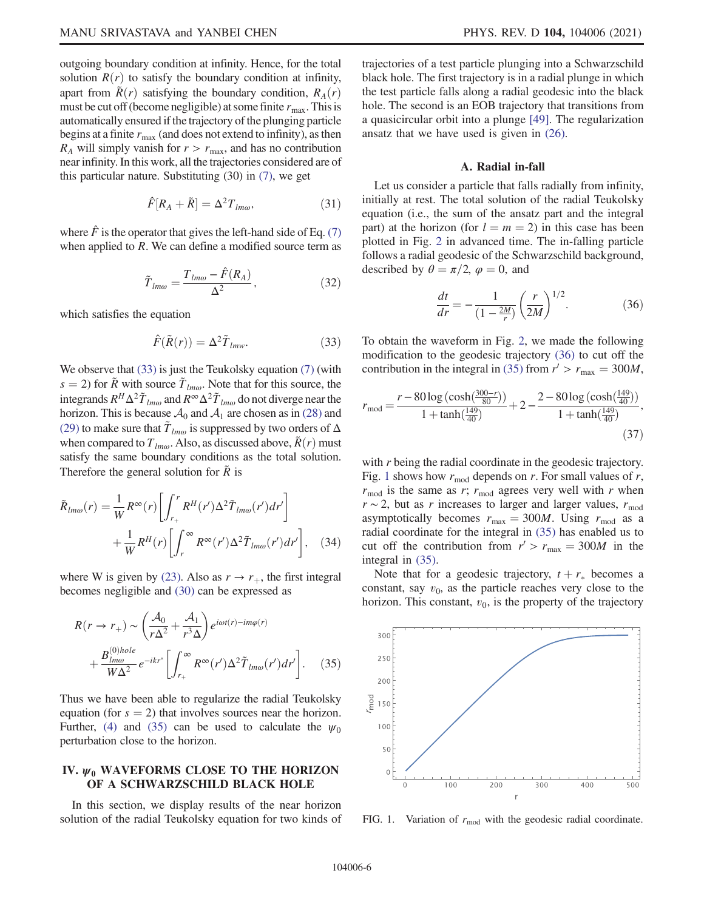outgoing boundary condition at infinity. Hence, for the total solution  $R(r)$  to satisfy the boundary condition at infinity, apart from  $\tilde{R}(r)$  satisfying the boundary condition,  $R_A(r)$ must be cut off (become negligible) at some finite  $r_{\text{max}}$ . This is automatically ensured if the trajectory of the plunging particle begins at a finite  $r_{\text{max}}$  (and does not extend to infinity), as then  $R_A$  will simply vanish for  $r>r_{\text{max}}$ , and has no contribution near infinity. In this work, all the trajectories considered are of this particular nature. Substituting (30) in [\(7\),](#page-2-4) we get

$$
\hat{F}[R_A + \tilde{R}] = \Delta^2 T_{lm\omega},\tag{31}
$$

<span id="page-5-5"></span>where  $\hat{F}$  is the operator that gives the left-hand side of Eq. [\(7\)](#page-2-4) when applied to  $R$ . We can define a modified source term as

$$
\tilde{T}_{lm\omega} = \frac{T_{lm\omega} - \hat{F}(R_A)}{\Delta^2},\tag{32}
$$

<span id="page-5-1"></span>which satisfies the equation

$$
\hat{F}(\tilde{R}(r)) = \Delta^2 \tilde{T}_{lmw}.
$$
\n(33)

We observe that [\(33\)](#page-5-1) is just the Teukolsky equation [\(7\)](#page-2-4) (with  $s = 2$ ) for  $\tilde{R}$  with source  $\tilde{T}_{lm\omega}$ . Note that for this source, the integrands  $R^H \Delta^2 \tilde{T}_{lm\omega}$  and  $R^{\infty} \Delta^2 \tilde{T}_{lm\omega}$  do not diverge near the horizon. This is because  $A_0$  and  $A_1$  are chosen as in [\(28\)](#page-4-5) and [\(29\)](#page-4-6) to make sure that  $\tilde{T}_{lm\omega}$  is suppressed by two orders of  $\Delta$ when compared to  $T_{lm\omega}$ . Also, as discussed above,  $\tilde{R}(r)$  must satisfy the same boundary conditions as the total solution. Therefore the general solution for  $\tilde{R}$  is

$$
\tilde{R}_{lm\omega}(r) = \frac{1}{W} R^{\infty}(r) \left[ \int_{r_+}^r R^H(r') \Delta^2 \tilde{T}_{lm\omega}(r') dr' \right] + \frac{1}{W} R^H(r) \left[ \int_r^{\infty} R^{\infty}(r') \Delta^2 \tilde{T}_{lm\omega}(r') dr' \right], \quad (34)
$$

<span id="page-5-2"></span>where W is given by [\(23\)](#page-3-4). Also as  $r \to r_{+}$ , the first integral becomes negligible and [\(30\)](#page-4-7) can be expressed as

$$
R(r \to r_{+}) \sim \left(\frac{\mathcal{A}_{0}}{r\Delta^{2}} + \frac{\mathcal{A}_{1}}{r^{3}\Delta}\right) e^{i\omega t(r) - im\varphi(r)}
$$

$$
+ \frac{B_{lm\omega}^{(0)hole}}{W\Delta^{2}} e^{-ikr^{*}} \left[ \int_{r_{+}}^{\infty} R^{\infty}(r') \Delta^{2} \tilde{T}_{lm\omega}(r') dr' \right]. \quad (35)
$$

Thus we have been able to regularize the radial Teukolsky equation (for  $s = 2$ ) that involves sources near the horizon. Further, [\(4\)](#page-2-1) and [\(35\)](#page-5-2) can be used to calculate the  $\psi_0$ perturbation close to the horizon.

# <span id="page-5-0"></span>IV.  $\psi_0$  WAVEFORMS CLOSE TO THE HORIZON OF A SCHWARZSCHILD BLACK HOLE

In this section, we display results of the near horizon solution of the radial Teukolsky equation for two kinds of trajectories of a test particle plunging into a Schwarzschild black hole. The first trajectory is in a radial plunge in which the test particle falls along a radial geodesic into the black hole. The second is an EOB trajectory that transitions from a quasicircular orbit into a plunge [[49](#page-19-19)]. The regularization ansatz that we have used is given in [\(26\)](#page-4-2).

### A. Radial in-fall

<span id="page-5-3"></span>Let us consider a particle that falls radially from infinity, initially at rest. The total solution of the radial Teukolsky equation (i.e., the sum of the ansatz part and the integral part) at the horizon (for  $l = m = 2$ ) in this case has been plotted in Fig. [2](#page-6-0) in advanced time. The in-falling particle follows a radial geodesic of the Schwarzschild background, described by  $\theta = \pi/2$ ,  $\varphi = 0$ , and

$$
\frac{dt}{dr} = -\frac{1}{(1 - \frac{2M}{r})} \left(\frac{r}{2M}\right)^{1/2}.
$$
 (36)

To obtain the waveform in Fig. [2](#page-6-0), we made the following modification to the geodesic trajectory [\(36\)](#page-5-3) to cut off the contribution in the integral in [\(35\)](#page-5-2) from  $r' > r_{\text{max}} = 300M$ ,

$$
r_{\text{mod}} = \frac{r - 80 \log \left( \cosh \left( \frac{300 - r}{80} \right) \right)}{1 + \tanh \left( \frac{149}{40} \right)} + 2 - \frac{2 - 80 \log \left( \cosh \left( \frac{149}{40} \right) \right)}{1 + \tanh \left( \frac{149}{40} \right)},\tag{37}
$$

with r being the radial coordinate in the geodesic trajectory. Fig. [1](#page-5-4) shows how  $r_{\text{mod}}$  depends on r. For small values of r,  $r_{\text{mod}}$  is the same as r;  $r_{\text{mod}}$  agrees very well with r when  $r \sim 2$ , but as r increases to larger and larger values,  $r_{\text{mod}}$ asymptotically becomes  $r_{\text{max}} = 300M$ . Using  $r_{\text{mod}}$  as a radial coordinate for the integral in [\(35\)](#page-5-2) has enabled us to cut off the contribution from  $r' > r_{\text{max}} = 300M$  in the integral in [\(35\)](#page-5-2).

Note that for a geodesic trajectory,  $t + r_*$  becomes a netative range of the narricle reaches very close to the constant, say  $v_0$ , as the particle reaches very close to the horizon. This constant,  $v_0$ , is the property of the trajectory

<span id="page-5-4"></span>

FIG. 1. Variation of  $r_{\text{mod}}$  with the geodesic radial coordinate.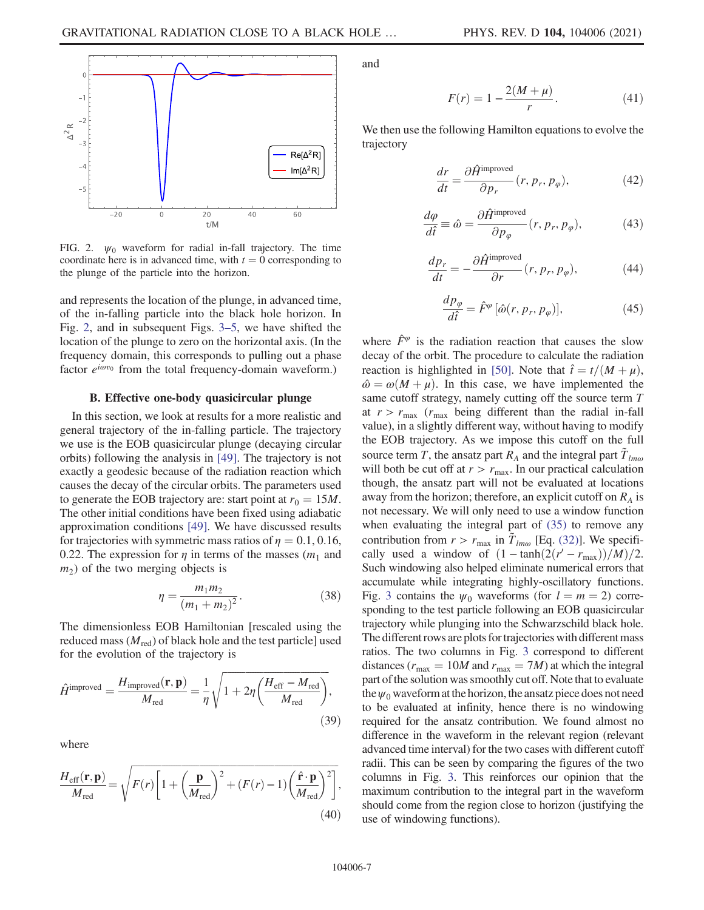<span id="page-6-0"></span>

FIG. 2.  $\psi_0$  waveform for radial in-fall trajectory. The time coordinate here is in advanced time, with  $t = 0$  corresponding to the plunge of the particle into the horizon.

and represents the location of the plunge, in advanced time, of the in-falling particle into the black hole horizon. In Fig. [2,](#page-6-0) and in subsequent Figs. [3](#page-7-1)–5, we have shifted the location of the plunge to zero on the horizontal axis. (In the frequency domain, this corresponds to pulling out a phase factor  $e^{i\omega v_0}$  from the total frequency-domain waveform.)

## B. Effective one-body quasicircular plunge

<span id="page-6-1"></span>In this section, we look at results for a more realistic and general trajectory of the in-falling particle. The trajectory we use is the EOB quasicircular plunge (decaying circular orbits) following the analysis in [\[49\]](#page-19-19). The trajectory is not exactly a geodesic because of the radiation reaction which causes the decay of the circular orbits. The parameters used to generate the EOB trajectory are: start point at  $r_0 = 15M$ . The other initial conditions have been fixed using adiabatic approximation conditions [\[49\]](#page-19-19). We have discussed results for trajectories with symmetric mass ratios of  $\eta = 0.1, 0.16$ , 0.22. The expression for  $\eta$  in terms of the masses ( $m_1$  and  $m<sub>2</sub>$ ) of the two merging objects is

$$
\eta = \frac{m_1 m_2}{(m_1 + m_2)^2}.
$$
\n(38)

The dimensionless EOB Hamiltonian [rescaled using the reduced mass  $(M_{\text{red}})$  of black hole and the test particle] used for the evolution of the trajectory is

$$
\hat{H}^{\text{improved}} = \frac{H_{\text{improved}}(\mathbf{r}, \mathbf{p})}{M_{\text{red}}} = \frac{1}{\eta} \sqrt{1 + 2\eta \left(\frac{H_{\text{eff}} - M_{\text{red}}}{M_{\text{red}}}\right)},
$$
\n(39)

where

$$
\frac{H_{\text{eff}}(\mathbf{r}, \mathbf{p})}{M_{\text{red}}} = \sqrt{F(r) \left[1 + \left(\frac{\mathbf{p}}{M_{\text{red}}}\right)^2 + (F(r) - 1) \left(\frac{\hat{\mathbf{r}} \cdot \mathbf{p}}{M_{\text{red}}}\right)^2\right]},
$$
\n(40)

and

$$
F(r) = 1 - \frac{2(M + \mu)}{r}.
$$
 (41)

We then use the following Hamilton equations to evolve the trajectory

$$
\frac{dr}{dt} = \frac{\partial \hat{H}^{\text{improved}}}{\partial p_r} (r, p_r, p_\varphi), \tag{42}
$$

$$
\frac{d\varphi}{d\hat{t}} \equiv \hat{\omega} = \frac{\partial \hat{H}^{\text{improved}}}{\partial p_{\varphi}}(r, p_r, p_{\varphi}),\tag{43}
$$

$$
\frac{dp_r}{dt} = -\frac{\partial \hat{H}^{\text{improved}}}{\partial r}(r, p_r, p_\varphi),\tag{44}
$$

$$
\frac{dp_{\varphi}}{d\hat{t}} = \hat{F}^{\varphi} [\hat{\omega}(r, p_r, p_{\varphi})],
$$
\n(45)

where  $\hat{F}^{\varphi}$  is the radiation reaction that causes the slow decay of the orbit. The procedure to calculate the radiation reaction is highlighted in [[50](#page-19-20)]. Note that  $\hat{t} = t/(M + \mu)$ ,  $\hat{\omega} = \omega(M + \mu)$ . In this case, we have implemented the same cutoff strategy, namely cutting off the source term T at  $r > r_{\text{max}}$  ( $r_{\text{max}}$  being different than the radial in-fall value), in a slightly different way, without having to modify the EOB trajectory. As we impose this cutoff on the full source term T, the ansatz part  $R_A$  and the integral part  $\tilde{T}_{lm\omega}$ will both be cut off at  $r>r_{\text{max}}$ . In our practical calculation though, the ansatz part will not be evaluated at locations away from the horizon; therefore, an explicit cutoff on  $R_A$  is not necessary. We will only need to use a window function when evaluating the integral part of [\(35\)](#page-5-2) to remove any contribution from  $r > r_{\text{max}}$  in  $\overline{T}_{lm\omega}$  [Eq. [\(32\)](#page-5-5)]. We specifically used a window of  $(1 - \tanh(2(r' - r_{max}))/M)/2$ . Such windowing also helped eliminate numerical errors that accumulate while integrating highly-oscillatory functions. Fig. [3](#page-7-1) contains the  $\psi_0$  waveforms (for  $l = m = 2$ ) corresponding to the test particle following an EOB quasicircular trajectory while plunging into the Schwarzschild black hole. The different rows are plots for trajectories with different mass ratios. The two columns in Fig. [3](#page-7-1) correspond to different distances ( $r_{\text{max}} = 10M$  and  $r_{\text{max}} = 7M$ ) at which the integral part of the solution was smoothly cut off. Note that to evaluate the  $\psi_0$  waveform at the horizon, the ansatz piece does not need to be evaluated at infinity, hence there is no windowing required for the ansatz contribution. We found almost no difference in the waveform in the relevant region (relevant advanced time interval) for the two cases with different cutoff radii. This can be seen by comparing the figures of the two columns in Fig. [3.](#page-7-1) This reinforces our opinion that the maximum contribution to the integral part in the waveform should come from the region close to horizon (justifying the use of windowing functions).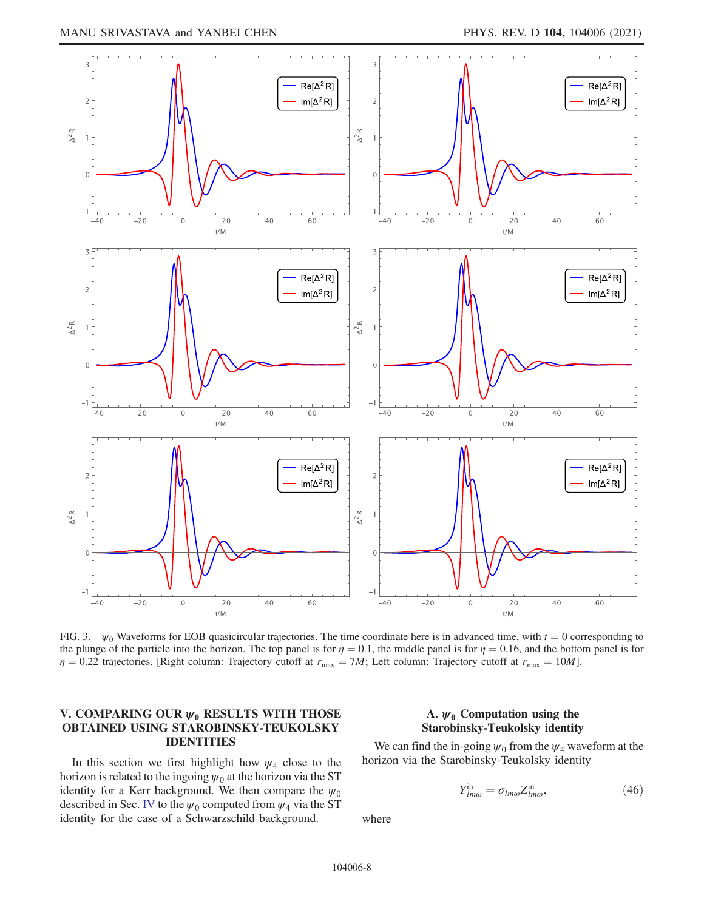<span id="page-7-1"></span>

FIG. 3.  $\psi_0$  Waveforms for EOB quasicircular trajectories. The time coordinate here is in advanced time, with  $t = 0$  corresponding to the plunge of the particle into the horizon. The top panel is for  $\eta = 0.1$ , the middle panel is for  $\eta = 0.16$ , and the bottom panel is for  $\eta = 0.22$  trajectories. [Right column: Trajectory cutoff at  $r_{\text{max}} = 7M$ ; Left column: Trajectory cutoff at  $r_{\text{max}} = 10M$ ].

# <span id="page-7-0"></span>V. COMPARING OUR  $\psi_0$  RESULTS WITH THOSE OBTAINED USING STAROBINSKY-TEUKOLSKY IDENTITIES

In this section we first highlight how  $\psi_4$  close to the horizon is related to the ingoing  $\psi_0$  at the horizon via the ST identity for a Kerr background. We then compare the  $\psi_0$ described in Sec. [IV](#page-5-0) to the  $\psi_0$  computed from  $\psi_4$  via the ST identity for the case of a Schwarzschild background.

## A.  $\psi_0$  Computation using the Starobinsky-Teukolsky identity

<span id="page-7-2"></span>We can find the in-going  $\psi_0$  from the  $\psi_4$  waveform at the horizon via the Starobinsky-Teukolsky identity

$$
Y_{lm\omega}^{\text{in}} = \sigma_{lm\omega} Z_{lm\omega}^{\text{in}},\tag{46}
$$

where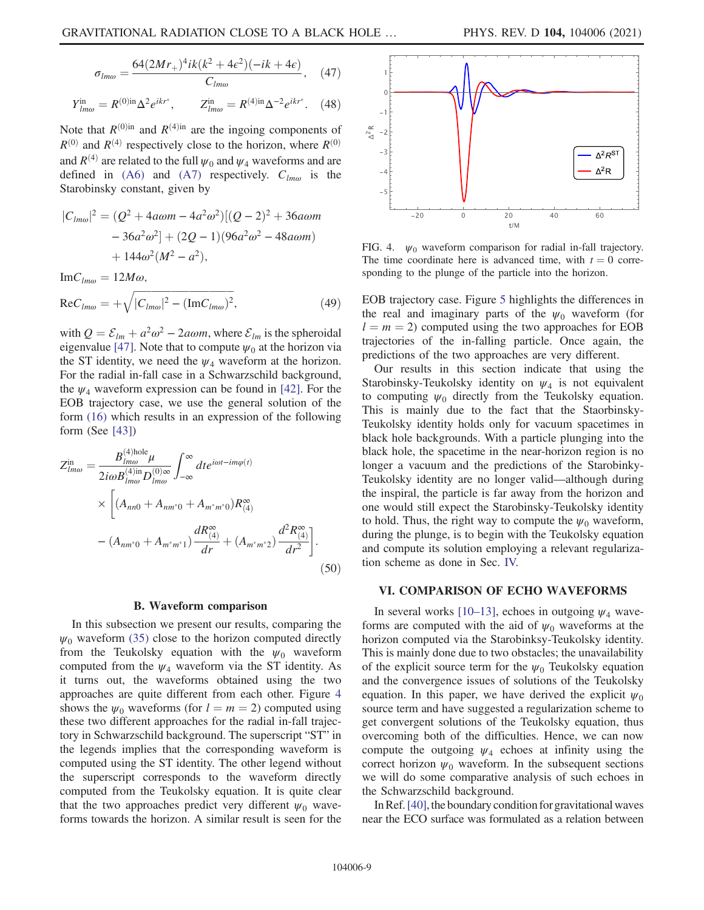$$
\sigma_{lm\omega} = \frac{64(2Mr_{+})^{4}ik(k^{2} + 4\epsilon^{2})(-ik + 4\epsilon)}{C_{lm\omega}}, \quad (47)
$$

<span id="page-8-2"></span>
$$
Y_{lm\omega}^{\text{in}} = R^{(0)\text{in}} \Delta^2 e^{ikr^*}, \qquad Z_{lm\omega}^{\text{in}} = R^{(4)\text{in}} \Delta^{-2} e^{ikr^*}. \quad (48)
$$

Note that  $R^{(0)$ in and  $R^{(4)$ in are the ingoing components of  $R^{(0)}$  and  $R^{(4)}$  respectively close to the horizon, where  $R^{(0)}$ and  $R^{(4)}$  are related to the full  $\psi_0$  and  $\psi_4$  waveforms and are defined in [\(A6\)](#page-12-2) and [\(A7\)](#page-12-3) respectively.  $C_{lm\omega}$  is the Starobinsky constant, given by

$$
|C_{lm\omega}|^2 = (Q^2 + 4a\omega m - 4a^2\omega^2)[(Q-2)^2 + 36a\omega m - 36a^2\omega^2] + (2Q - 1)(96a^2\omega^2 - 48a\omega m) + 144\omega^2(M^2 - a^2),
$$

$$
\text{Im}C_{lm\omega} = 12M\omega,
$$
  
\n
$$
\text{Re}C_{lm\omega} = +\sqrt{|C_{lm\omega}|^2 - (\text{Im}C_{lm\omega})^2},
$$
\n(49)

with  $Q = \mathcal{E}_{lm} + a^2 \omega^2 - 2a\omega m$ , where  $\mathcal{E}_{lm}$  is the spheroidal eigenvalue [\[47\]](#page-19-17). Note that to compute  $\psi_0$  at the horizon via the ST identity, we need the  $\psi_4$  waveform at the horizon. For the radial in-fall case in a Schwarzschild background, the  $\psi_4$  waveform expression can be found in [\[42\]](#page-19-13). For the EOB trajectory case, we use the general solution of the form [\(16\)](#page-3-3) which results in an expression of the following form (See [\[43\]](#page-19-14))

<span id="page-8-3"></span>
$$
Z_{lm\omega}^{\text{in}} = \frac{B_{lm\omega}^{(4)\text{hole}}\mu}{2i\omega B_{lm\omega}^{(4)\text{in}}D_{lm\omega}^{(0)\infty}} \int_{-\infty}^{\infty} dt e^{i\omega t - im\varphi(t)}
$$
  
 
$$
\times \left[ (A_{nn0} + A_{nm^*0} + A_{m^*m^*0}) R_{(4)}^{\infty} - (A_{nm^*0} + A_{m^*m^*1}) \frac{dR_{(4)}^{\infty}}{dr} + (A_{m^*m^*2}) \frac{d^2 R_{(4)}^{\infty}}{dr^2} \right].
$$
  
(50)

## B. Waveform comparison

In this subsection we present our results, comparing the  $\psi_0$  waveform [\(35\)](#page-5-2) close to the horizon computed directly from the Teukolsky equation with the  $\psi_0$  waveform computed from the  $\psi_4$  waveform via the ST identity. As it turns out, the waveforms obtained using the two approaches are quite different from each other. Figure [4](#page-8-1) shows the  $\psi_0$  waveforms (for  $l = m = 2$ ) computed using these two different approaches for the radial in-fall trajectory in Schwarzschild background. The superscript "ST" in the legends implies that the corresponding waveform is computed using the ST identity. The other legend without the superscript corresponds to the waveform directly computed from the Teukolsky equation. It is quite clear that the two approaches predict very different  $\psi_0$  waveforms towards the horizon. A similar result is seen for the

<span id="page-8-1"></span>

FIG. 4.  $\psi_0$  waveform comparison for radial in-fall trajectory. The time coordinate here is advanced time, with  $t = 0$  corresponding to the plunge of the particle into the horizon.

EOB trajectory case. Figure [5](#page-9-0) highlights the differences in the real and imaginary parts of the  $\psi_0$  waveform (for  $l = m = 2$ ) computed using the two approaches for EOB trajectories of the in-falling particle. Once again, the predictions of the two approaches are very different.

Our results in this section indicate that using the Starobinsky-Teukolsky identity on  $\psi_4$  is not equivalent to computing  $\psi_0$  directly from the Teukolsky equation. This is mainly due to the fact that the Staorbinsky-Teukolsky identity holds only for vacuum spacetimes in black hole backgrounds. With a particle plunging into the black hole, the spacetime in the near-horizon region is no longer a vacuum and the predictions of the Starobinky-Teukolsky identity are no longer valid—although during the inspiral, the particle is far away from the horizon and one would still expect the Starobinsky-Teukolsky identity to hold. Thus, the right way to compute the  $\psi_0$  waveform, during the plunge, is to begin with the Teukolsky equation and compute its solution employing a relevant regularization scheme as done in Sec. [IV.](#page-5-0)

#### <span id="page-8-0"></span>VI. COMPARISON OF ECHO WAVEFORMS

In several works [[10](#page-18-4)–[13\]](#page-18-5), echoes in outgoing  $\psi_4$  waveforms are computed with the aid of  $\psi_0$  waveforms at the horizon computed via the Starobinksy-Teukolsky identity. This is mainly done due to two obstacles; the unavailability of the explicit source term for the  $\psi_0$  Teukolsky equation and the convergence issues of solutions of the Teukolsky equation. In this paper, we have derived the explicit  $\psi_0$ source term and have suggested a regularization scheme to get convergent solutions of the Teukolsky equation, thus overcoming both of the difficulties. Hence, we can now compute the outgoing  $\psi_4$  echoes at infinity using the correct horizon  $\psi_0$  waveform. In the subsequent sections we will do some comparative analysis of such echoes in the Schwarzschild background.

In Ref. [[40\]](#page-19-11), the boundary condition for gravitational waves near the ECO surface was formulated as a relation between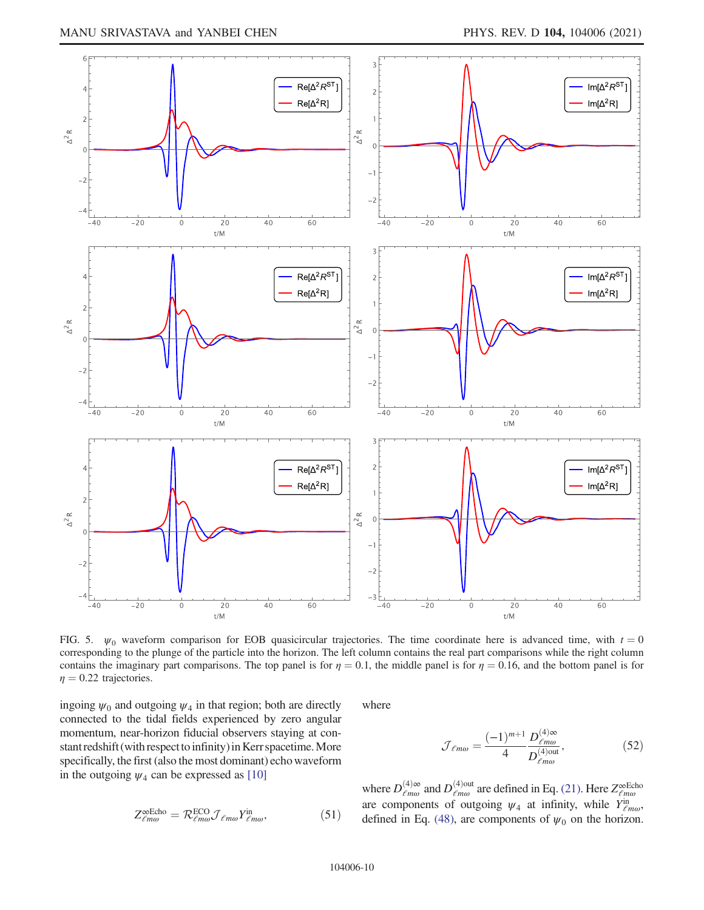<span id="page-9-0"></span>

FIG. 5.  $\psi_0$  waveform comparison for EOB quasicircular trajectories. The time coordinate here is advanced time, with  $t = 0$ corresponding to the plunge of the particle into the horizon. The left column contains the real part comparisons while the right column contains the imaginary part comparisons. The top panel is for  $\eta = 0.1$ , the middle panel is for  $\eta = 0.16$ , and the bottom panel is for  $\eta = 0.22$  trajectories.

<span id="page-9-1"></span>ingoing  $\psi_0$  and outgoing  $\psi_4$  in that region; both are directly connected to the tidal fields experienced by zero angular momentum, near-horizon fiducial observers staying at constant redshift (with respect to infinity) in Kerr spacetime. More specifically, the first (also the most dominant) echo waveform in the outgoing  $\psi_4$  can be expressed as [[10\]](#page-18-4)

$$
Z_{\ell m \omega}^{\infty \in \text{Cho}} = \mathcal{R}_{\ell m \omega}^{\text{ECO}} \mathcal{J}_{\ell m \omega} Y_{\ell m \omega}^{\text{in}}, \tag{51}
$$

where

$$
\mathcal{J}_{\ell m\omega} = \frac{(-1)^{m+1}}{4} \frac{D_{\ell m\omega}^{(4)\infty}}{D_{\ell m\omega}^{(4)\text{out}}},\tag{52}
$$

where  $D_{\ell m\omega}^{(4)\infty}$  and  $D_{\ell m\omega}^{(4) \text{out}}$  are defined in Eq. [\(21\).](#page-3-5) Here  $Z_{\ell m\omega}^{\infty}$  are components of outgoing  $\psi_4$  at infinity, while  $Y_{\ell m\omega}^{\text{in}}$ , defined in Eq. [\(48\),](#page-8-2) are components of  $\psi_0$  on the horizon.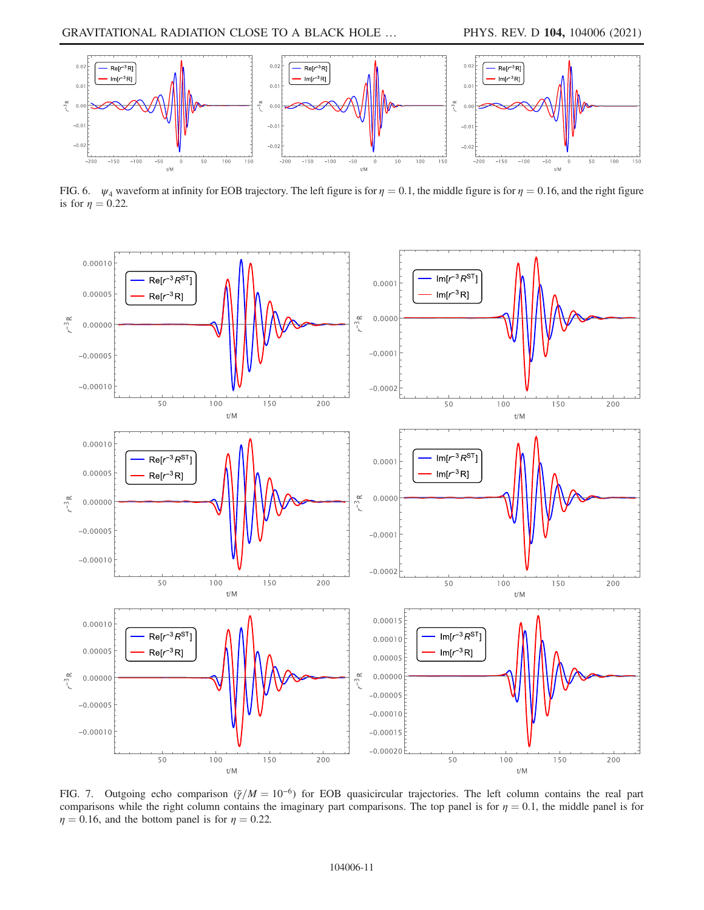<span id="page-10-0"></span>

FIG. 6.  $\psi_4$  waveform at infinity for EOB trajectory. The left figure is for  $\eta = 0.1$ , the middle figure is for  $\eta = 0.16$ , and the right figure is for  $\eta = 0.22$ .

<span id="page-10-1"></span>

FIG. 7. Outgoing echo comparison ( $\tilde{\gamma}/M = 10^{-6}$ ) for EOB quasicircular trajectories. The left column contains the real part comparisons while the right column contains the imaginary part comparisons. The top panel is for  $\eta = 0.1$ , the middle panel is for  $\eta = 0.16$ , and the bottom panel is for  $\eta = 0.22$ .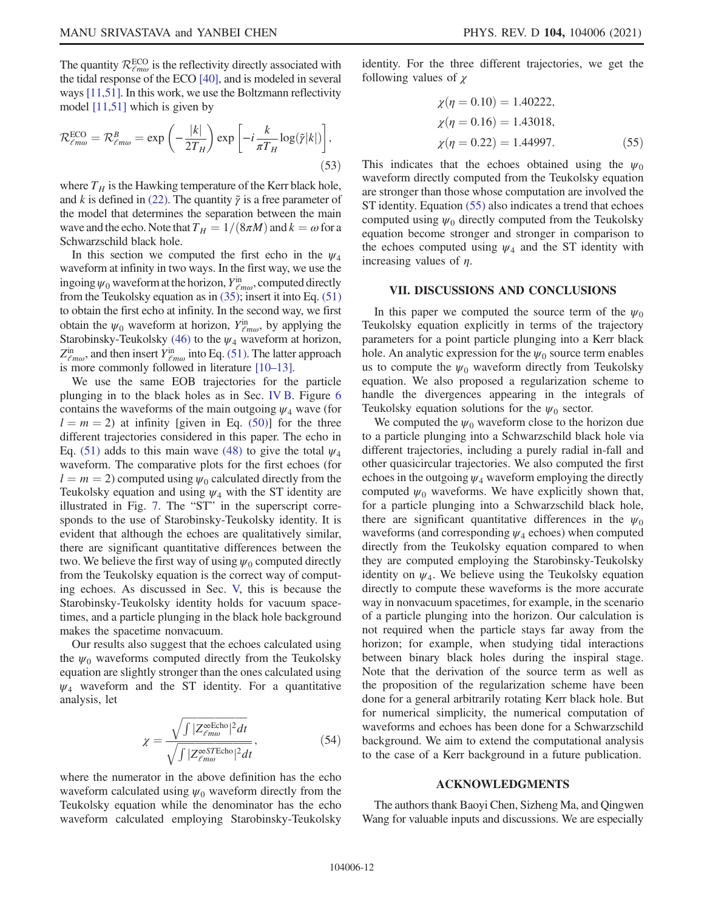The quantity  $\mathcal{R}_{\ell m\omega}^{\text{ECO}}$  is the reflectivity directly associated with the tidal response of the ECO [\[40\]](#page-19-11), and is modeled in several ways [\[11,](#page-18-6)[51](#page-19-21)]. In this work, we use the Boltzmann reflectivity model [[11](#page-18-6)[,51\]](#page-19-21) which is given by

$$
\mathcal{R}^{\text{ECO}}_{\ell m \omega} = \mathcal{R}^B_{\ell m \omega} = \exp\left(-\frac{|k|}{2T_H}\right) \exp\left[-i\frac{k}{\pi T_H} \log(\tilde{\gamma}|k|)\right],\tag{53}
$$

where  $T_H$  is the Hawking temperature of the Kerr black hole, and k is defined in [\(22\).](#page-3-6) The quantity  $\tilde{\gamma}$  is a free parameter of the model that determines the separation between the main wave and the echo. Note that  $T_H = 1/(8\pi M)$  and  $k = \omega$  for a Schwarzschild black hole.

In this section we computed the first echo in the  $\psi_4$ waveform at infinity in two ways. In the first way, we use the ingoing  $\psi_0$  waveform at the horizon,  $Y_{\ell m\omega}^{\text{in}}$ , computed directly from the Teukolsky equation as in [\(35\)](#page-5-2); insert it into Eq. [\(51\)](#page-9-1) to obtain the first echo at infinity. In the second way, we first obtain the  $\psi_0$  waveform at horizon,  $Y_{\ell m\omega}^{\text{in}}$ , by applying the Starobinsky-Teukolsky [\(46\)](#page-7-2) to the  $\psi_4$  waveform at horizon,  $Z_{\ell m\omega}^{\text{in}}$ , and then insert  $Y_{\ell m\omega}^{\text{in}}$  into Eq. [\(51\)](#page-9-1). The latter approach is more commonly followed in literature [\[10](#page-18-4)–[13\]](#page-18-5).

We use the same EOB trajectories for the particle plunging in to the black holes as in Sec. [IV B.](#page-6-1) Figure [6](#page-10-0) contains the waveforms of the main outgoing  $\psi_4$  wave (for  $l = m = 2$ ) at infinity [given in Eq. [\(50\)](#page-8-3)] for the three different trajectories considered in this paper. The echo in Eq. [\(51\)](#page-9-1) adds to this main wave [\(48\)](#page-8-2) to give the total  $\psi_4$ waveform. The comparative plots for the first echoes (for  $l = m = 2$ ) computed using  $\psi_0$  calculated directly from the Teukolsky equation and using  $\psi_4$  with the ST identity are illustrated in Fig. [7](#page-10-1). The "ST" in the superscript corresponds to the use of Starobinsky-Teukolsky identity. It is evident that although the echoes are qualitatively similar, there are significant quantitative differences between the two. We believe the first way of using  $\psi_0$  computed directly from the Teukolsky equation is the correct way of computing echoes. As discussed in Sec. [V,](#page-7-0) this is because the Starobinsky-Teukolsky identity holds for vacuum spacetimes, and a particle plunging in the black hole background makes the spacetime nonvacuum.

Our results also suggest that the echoes calculated using the  $\psi_0$  waveforms computed directly from the Teukolsky equation are slightly stronger than the ones calculated using  $\psi_4$  waveform and the ST identity. For a quantitative analysis, let

$$
\chi = \frac{\sqrt{\int |Z^{\infty}_{\ell m\omega}|^2 dt}}{\sqrt{\int |Z^{\infty}_{\ell m\omega}|^2 dt}},
$$
\n(54)

where the numerator in the above definition has the echo waveform calculated using  $\psi_0$  waveform directly from the Teukolsky equation while the denominator has the echo waveform calculated employing Starobinsky-Teukolsky <span id="page-11-0"></span>identity. For the three different trajectories, we get the following values of  $\chi$ 

$$
\chi(\eta = 0.10) = 1.40222,
$$
  
\n
$$
\chi(\eta = 0.16) = 1.43018,
$$
  
\n
$$
\chi(\eta = 0.22) = 1.44997.
$$
\n(55)

This indicates that the echoes obtained using the  $\psi_0$ waveform directly computed from the Teukolsky equation are stronger than those whose computation are involved the ST identity. Equation [\(55\)](#page-11-0) also indicates a trend that echoes computed using  $\psi_0$  directly computed from the Teukolsky equation become stronger and stronger in comparison to the echoes computed using  $\psi_4$  and the ST identity with increasing values of  $\eta$ .

## VII. DISCUSSIONS AND CONCLUSIONS

In this paper we computed the source term of the  $\psi_0$ Teukolsky equation explicitly in terms of the trajectory parameters for a point particle plunging into a Kerr black hole. An analytic expression for the  $\psi_0$  source term enables us to compute the  $\psi_0$  waveform directly from Teukolsky equation. We also proposed a regularization scheme to handle the divergences appearing in the integrals of Teukolsky equation solutions for the  $\psi_0$  sector.

We computed the  $\psi_0$  waveform close to the horizon due to a particle plunging into a Schwarzschild black hole via different trajectories, including a purely radial in-fall and other quasicircular trajectories. We also computed the first echoes in the outgoing  $\psi_4$  waveform employing the directly computed  $\psi_0$  waveforms. We have explicitly shown that, for a particle plunging into a Schwarzschild black hole, there are significant quantitative differences in the  $\psi_0$ waveforms (and corresponding  $\psi_4$  echoes) when computed directly from the Teukolsky equation compared to when they are computed employing the Starobinsky-Teukolsky identity on  $\psi_4$ . We believe using the Teukolsky equation directly to compute these waveforms is the more accurate way in nonvacuum spacetimes, for example, in the scenario of a particle plunging into the horizon. Our calculation is not required when the particle stays far away from the horizon; for example, when studying tidal interactions between binary black holes during the inspiral stage. Note that the derivation of the source term as well as the proposition of the regularization scheme have been done for a general arbitrarily rotating Kerr black hole. But for numerical simplicity, the numerical computation of waveforms and echoes has been done for a Schwarzschild background. We aim to extend the computational analysis to the case of a Kerr background in a future publication.

### ACKNOWLEDGMENTS

The authors thank Baoyi Chen, Sizheng Ma, and Qingwen Wang for valuable inputs and discussions. We are especially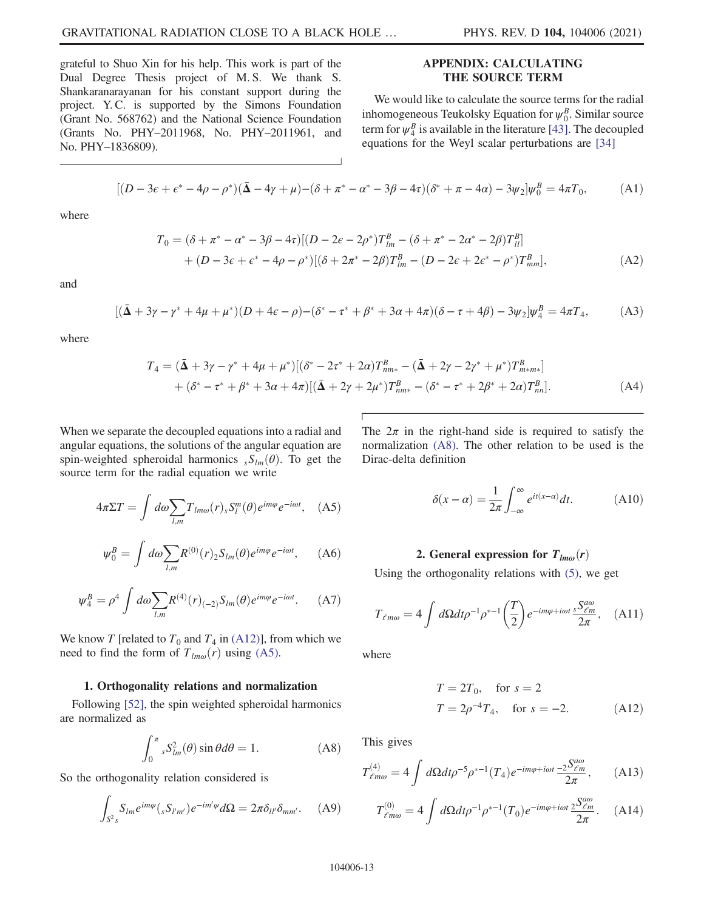grateful to Shuo Xin for his help. This work is part of the Dual Degree Thesis project of M. S. We thank S. Shankaranarayanan for his constant support during the project. Y. C. is supported by the Simons Foundation (Grant No. 568762) and the National Science Foundation (Grants No. PHY–2011968, No. PHY–2011961, and No. PHY–1836809).

# APPENDIX: CALCULATING THE SOURCE TERM

We would like to calculate the source terms for the radial inhomogeneous Teukolsky Equation for  $\psi_0^B$ . Similar source term for  $\psi_4^B$  is available in the literature [\[43\]](#page-19-14). The decoupled equations for the Weyl scalar perturbations are [\[34\]](#page-19-5)

$$
[(D - 3\epsilon + \epsilon^* - 4\rho - \rho^*)(\bar{\Delta} - 4\gamma + \mu) - (\delta + \pi^* - \alpha^* - 3\beta - 4\tau)(\delta^* + \pi - 4\alpha) - 3\psi_2]\psi_0^B = 4\pi T_0,
$$
 (A1)

<span id="page-12-9"></span>where

$$
T_0 = (\delta + \pi^* - \alpha^* - 3\beta - 4\tau)[(D - 2\epsilon - 2\rho^*)T_{lm}^B - (\delta + \pi^* - 2\alpha^* - 2\beta)T_{ll}^B] + (D - 3\epsilon + \epsilon^* - 4\rho - \rho^*)[(\delta + 2\pi^* - 2\beta)T_{lm}^B - (D - 2\epsilon + 2\epsilon^* - \rho^*)T_{mm}^B],
$$
\n(A2)

and

$$
[(\bar{\Delta} + 3\gamma - \gamma^* + 4\mu + \mu^*)(D + 4\epsilon - \rho) - (\delta^* - \tau^* + \beta^* + 3\alpha + 4\pi)(\delta - \tau + 4\beta) - 3\psi_2]\psi_4^B = 4\pi T_4,
$$
 (A3)

<span id="page-12-8"></span>where

$$
T_4 = (\bar{\mathbf{\Delta}} + 3\gamma - \gamma^* + 4\mu + \mu^*)[(\delta^* - 2\tau^* + 2\alpha)T_{nm*}^B - (\bar{\mathbf{\Delta}} + 2\gamma - 2\gamma^* + \mu^*)T_{m*}^B] + (\delta^* - \tau^* + \beta^* + 3\alpha + 4\pi)[(\bar{\mathbf{\Delta}} + 2\gamma + 2\mu^*)T_{nm*}^B - (\delta^* - \tau^* + 2\beta^* + 2\alpha)T_{nn}^B].
$$
\n(A4)

<span id="page-12-5"></span>When we separate the decoupled equations into a radial and angular equations, the solutions of the angular equation are spin-weighted spheroidal harmonics  $sS_{lm}(\theta)$ . To get the source term for the radial equation we write

$$
4\pi \Sigma T = \int d\omega \sum_{l,m} T_{lm\omega}(r)_{s} S_{l}^{m}(\theta) e^{im\varphi} e^{-i\omega t}, \quad (A5)
$$

<span id="page-12-2"></span>
$$
\psi_0^B = \int d\omega \sum_{l,m} R^{(0)}(r)_2 S_{lm}(\theta) e^{im\varphi} e^{-i\omega t}, \quad (A6)
$$

<span id="page-12-3"></span>
$$
\psi_4^B = \rho^4 \int d\omega \sum_{l,m} R^{(4)}(r)_{(-2)} S_{lm}(\theta) e^{im\varphi} e^{-i\omega t}.
$$
 (A7)

We know T [related to  $T_0$  and  $T_4$  in [\(A12\)](#page-12-4)], from which we need to find the form of  $T_{lm\omega}(r)$  using [\(A5\)](#page-12-5).

### 1. Orthogonality relations and normalization

<span id="page-12-6"></span>Following [\[52\]](#page-19-22), the spin weighted spheroidal harmonics are normalized as

$$
\int_0^\pi s S_{lm}^2(\theta) \sin \theta d\theta = 1.
$$
 (A8)

<span id="page-12-0"></span>So the orthogonality relation considered is

$$
\int_{S^2s} S_{lm} e^{im\varphi} ({}_{s} S_{l'm'}) e^{-im'\varphi} d\Omega = 2\pi \delta_{ll'} \delta_{mm'}.
$$
 (A9)

<span id="page-12-1"></span>The  $2\pi$  in the right-hand side is required to satisfy the normalization [\(A8\).](#page-12-6) The other relation to be used is the Dirac-delta definition

$$
\delta(x - \alpha) = \frac{1}{2\pi} \int_{-\infty}^{\infty} e^{it(x - \alpha)} dt.
$$
 (A10)

## 2. General expression for  $T_{lm\omega}(r)$

Using the orthogonality relations with [\(5\)](#page-2-2), we get

<span id="page-12-4"></span>
$$
T_{\ell m\omega} = 4 \int d\Omega dt \rho^{-1} \rho^{*-1} \left(\frac{T}{2}\right) e^{-im\varphi + i\omega t} \frac{sS_{\ell m}^{\alpha\omega}}{2\pi}, \quad \text{(A11)}
$$

<span id="page-12-10"></span>where

$$
T = 2T_0
$$
, for  $s = 2$   
\n $T = 2\rho^{-4}T_4$ , for  $s = -2$ . (A12)

<span id="page-12-11"></span><span id="page-12-7"></span>This gives

$$
T_{\ell m\omega}^{(4)} = 4 \int d\Omega dt \rho^{-5} \rho^{*-1}(T_4) e^{-im\varphi + i\omega t} \frac{-2S_{\ell m}^{a\omega}}{2\pi}, \quad (A13)
$$

$$
T^{(0)}_{\ell m\omega} = 4 \int d\Omega dt \rho^{-1} \rho^{*-1}(T_0) e^{-im\varphi + i\omega t} \frac{2S_{\ell m}^{\alpha\omega}}{2\pi}.
$$
 (A14)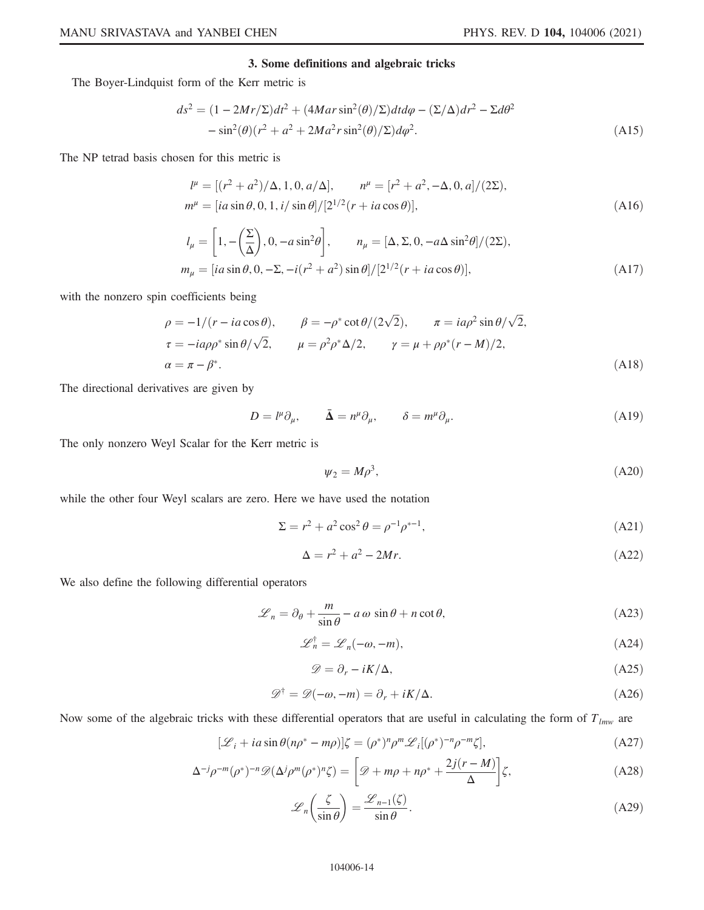# 3. Some definitions and algebraic tricks

<span id="page-13-0"></span>The Boyer-Lindquist form of the Kerr metric is

$$
ds^{2} = (1 - 2Mr/\Sigma)dt^{2} + (4Mar\sin^{2}(\theta)/\Sigma)dtd\varphi - (\Sigma/\Delta)dr^{2} - \Sigma d\theta^{2}
$$

$$
-\sin^{2}(\theta)(r^{2} + a^{2} + 2Ma^{2}r\sin^{2}(\theta)/\Sigma)d\varphi^{2}.
$$
(A15)

<span id="page-13-1"></span>The NP tetrad basis chosen for this metric is

$$
l^{\mu} = [(r^2 + a^2)/\Delta, 1, 0, a/\Delta], \qquad n^{\mu} = [r^2 + a^2, -\Delta, 0, a]/(2\Sigma),
$$
  
\n
$$
m^{\mu} = [ia \sin \theta, 0, 1, i/\sin \theta]/[2^{1/2}(r + ia \cos \theta)],
$$
\n(A16)

$$
l_{\mu} = \left[1, -\left(\frac{\Sigma}{\Delta}\right), 0, -a\sin^{2}\theta\right], \qquad n_{\mu} = [\Delta, \Sigma, 0, -a\Delta\sin^{2}\theta]/(2\Sigma),
$$
  

$$
m_{\mu} = [ia\sin\theta, 0, -\Sigma, -i(r^{2} + a^{2})\sin\theta]/[2^{1/2}(r + ia\cos\theta)],
$$
(A17)

with the nonzero spin coefficients being

$$
\rho = -1/(r - ia \cos \theta), \qquad \beta = -\rho^* \cot \theta/(2\sqrt{2}), \qquad \pi = ia\rho^2 \sin \theta/\sqrt{2},
$$
  
\n
$$
\tau = -ia\rho\rho^* \sin \theta/\sqrt{2}, \qquad \mu = \rho^2\rho^* \Delta/2, \qquad \gamma = \mu + \rho\rho^* (r - M)/2,
$$
  
\n
$$
\alpha = \pi - \beta^*.
$$
\n(A18)

The directional derivatives are given by

$$
D = l^{\mu} \partial_{\mu}, \qquad \bar{\Delta} = n^{\mu} \partial_{\mu}, \qquad \delta = m^{\mu} \partial_{\mu}.
$$
 (A19)

The only nonzero Weyl Scalar for the Kerr metric is

$$
\psi_2 = M \rho^3,\tag{A20}
$$

while the other four Weyl scalars are zero. Here we have used the notation

$$
\Sigma = r^2 + a^2 \cos^2 \theta = \rho^{-1} \rho^{*-1},\tag{A21}
$$

$$
\Delta = r^2 + a^2 - 2Mr.\tag{A22}
$$

We also define the following differential operators

$$
\mathcal{L}_n = \partial_\theta + \frac{m}{\sin \theta} - a\,\omega\,\sin \theta + n\cot \theta,\tag{A23}
$$

$$
\mathcal{L}_n^{\dagger} = \mathcal{L}_n(-\omega, -m),\tag{A24}
$$

$$
\mathscr{D} = \partial_r - iK/\Delta, \tag{A25}
$$

$$
\mathcal{D}^{\dagger} = \mathcal{D}(-\omega, -m) = \partial_r + iK/\Delta.
$$
 (A26)

Now some of the algebraic tricks with these differential operators that are useful in calculating the form of  $T_{lmw}$  are

$$
[\mathcal{L}_i + i a \sin \theta (n \rho^* - m \rho)] \zeta = (\rho^*)^n \rho^m \mathcal{L}_i[(\rho^*)^{-n} \rho^{-m} \zeta],
$$
\n(A27)

$$
\Delta^{-j}\rho^{-m}(\rho^*)^{-n}\mathscr{D}(\Delta^j\rho^m(\rho^*)^n\zeta) = \left[\mathscr{D} + m\rho + n\rho^* + \frac{2j(r-M)}{\Delta}\right]\zeta,\tag{A28}
$$

$$
\mathcal{L}_n\left(\frac{\zeta}{\sin\theta}\right) = \frac{\mathcal{L}_{n-1}(\zeta)}{\sin\theta}.
$$
 (A29)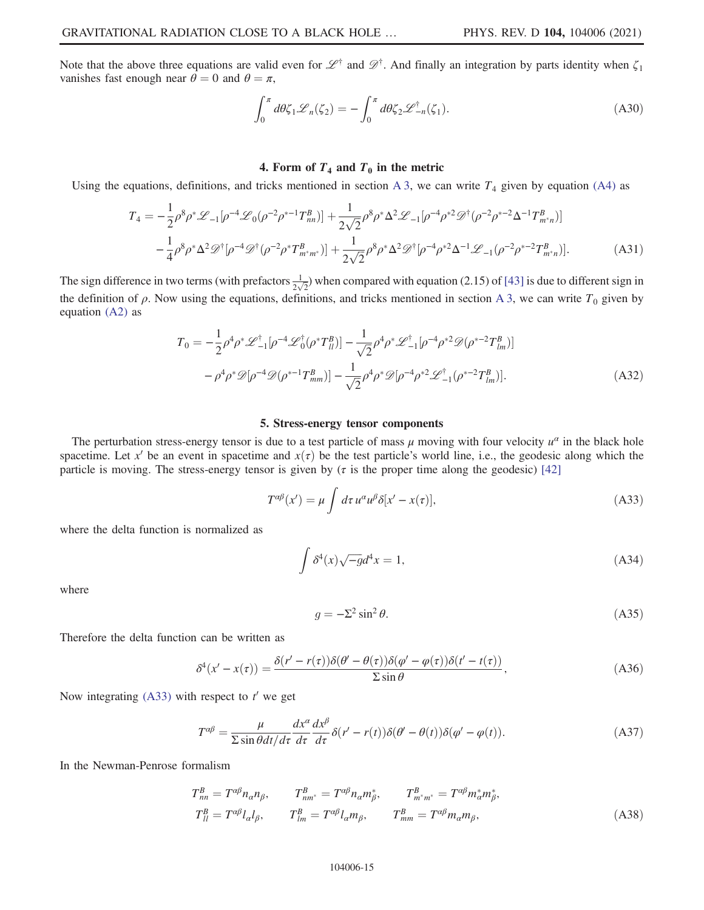Note that the above three equations are valid even for  $\mathscr{L}^{\dagger}$  and  $\mathscr{D}^{\dagger}$ . And finally an integration by parts identity when  $\zeta_1$ vanishes fast enough near  $\theta = 0$  and  $\theta = \pi$ ,

$$
\int_0^{\pi} d\theta \zeta_1 \mathcal{L}_n(\zeta_2) = -\int_0^{\pi} d\theta \zeta_2 \mathcal{L}_{-n}^{\dagger}(\zeta_1). \tag{A30}
$$

# 4. Form of  $T_4$  and  $T_0$  in the metric

<span id="page-14-3"></span>Using the equations, definitions, and tricks mentioned in section [A 3,](#page-12-7) we can write  $T_4$  given by equation [\(A4\)](#page-12-8) as

$$
T_4 = -\frac{1}{2}\rho^8 \rho^* \mathcal{L}_{-1}[\rho^{-4} \mathcal{L}_0(\rho^{-2} \rho^{*-1} T_{nn}^B)] + \frac{1}{2\sqrt{2}}\rho^8 \rho^* \Delta^2 \mathcal{L}_{-1}[\rho^{-4} \rho^{*2} \mathcal{D}^\dagger(\rho^{-2} \rho^{*-2} \Delta^{-1} T_{m^*n}^B)]
$$
  

$$
-\frac{1}{4}\rho^8 \rho^* \Delta^2 \mathcal{D}^\dagger[\rho^{-4} \mathcal{D}^\dagger(\rho^{-2} \rho^* T_{m^*m^*}^B)] + \frac{1}{2\sqrt{2}}\rho^8 \rho^* \Delta^2 \mathcal{D}^\dagger[\rho^{-4} \rho^{*2} \Delta^{-1} \mathcal{L}_{-1}(\rho^{-2} \rho^{*-2} T_{m^*n}^B)].
$$
 (A31)

<span id="page-14-4"></span>The sign difference in two terms (with prefactors  $\frac{1}{2\sqrt{2}}$ ) when compared with equation (2.15) of [\[43\]](#page-19-14) is due to different sign in the definition of  $\rho$ . Now using the equations, definitions, and tricks mentioned in section [A 3](#page-12-7), we can write  $T_0$  given by equation [\(A2\)](#page-12-9) as

$$
T_0 = -\frac{1}{2}\rho^4\rho^* \mathcal{L}_{-1}^{\dagger}[\rho^{-4} \mathcal{L}_0^{\dagger}(\rho^* T_{ll}^B)] - \frac{1}{\sqrt{2}}\rho^4\rho^* \mathcal{L}_{-1}^{\dagger}[\rho^{-4}\rho^{*2} \mathcal{D}(\rho^{*-2} T_{lm}^B)]
$$
  

$$
-\rho^4\rho^* \mathcal{D}[\rho^{-4} \mathcal{D}(\rho^{*-1} T_{mm}^B)] - \frac{1}{\sqrt{2}}\rho^4\rho^* \mathcal{D}[\rho^{-4}\rho^{*2} \mathcal{L}_{-1}^{\dagger}(\rho^{*-2} T_{lm}^B)].
$$
 (A32)

## 5. Stress-energy tensor components

<span id="page-14-0"></span>The perturbation stress-energy tensor is due to a test particle of mass  $\mu$  moving with four velocity  $u^{\alpha}$  in the black hole spacetime. Let x' be an event in spacetime and  $x(\tau)$  be the test particle's world line, i.e., the geodesic along which the particle is moving. The stress-energy tensor is given by ( $\tau$  is the proper time along the geodesic) [\[42\]](#page-19-13)

$$
T^{\alpha\beta}(x') = \mu \int d\tau \, u^{\alpha} u^{\beta} \delta[x' - x(\tau)], \tag{A33}
$$

where the delta function is normalized as

$$
\int \delta^4(x)\sqrt{-g}d^4x = 1,\tag{A34}
$$

where

$$
g = -\Sigma^2 \sin^2 \theta. \tag{A35}
$$

Therefore the delta function can be written as

$$
\delta^4(x'-x(\tau)) = \frac{\delta(r'-r(\tau))\delta(\theta'-\theta(\tau))\delta(\varphi'-\varphi(\tau))\delta(t'-t(\tau))}{\Sigma \sin \theta},\tag{A36}
$$

<span id="page-14-1"></span>Now integrating [\(A33\)](#page-14-0) with respect to  $t'$  we get

$$
T^{\alpha\beta} = \frac{\mu}{\sum \sin \theta dt / d\tau} \frac{dx^{\alpha}}{d\tau} \frac{dx^{\beta}}{d\tau} \delta(r' - r(t)) \delta(\theta' - \theta(t)) \delta(\varphi' - \varphi(t)).
$$
 (A37)

<span id="page-14-2"></span>In the Newman-Penrose formalism

$$
T_{nn}^B = T^{\alpha\beta} n_{\alpha} n_{\beta}, \qquad T_{nm^*}^B = T^{\alpha\beta} n_{\alpha} m_{\beta}^*, \qquad T_{m^*m^*}^B = T^{\alpha\beta} m_{\alpha}^* m_{\beta}^*,
$$
  
\n
$$
T_{ll}^B = T^{\alpha\beta} l_{\alpha} l_{\beta}, \qquad T_{lm}^B = T^{\alpha\beta} l_{\alpha} m_{\beta}, \qquad T_{mm}^B = T^{\alpha\beta} m_{\alpha} m_{\beta}, \qquad (A38)
$$

#### 104006-15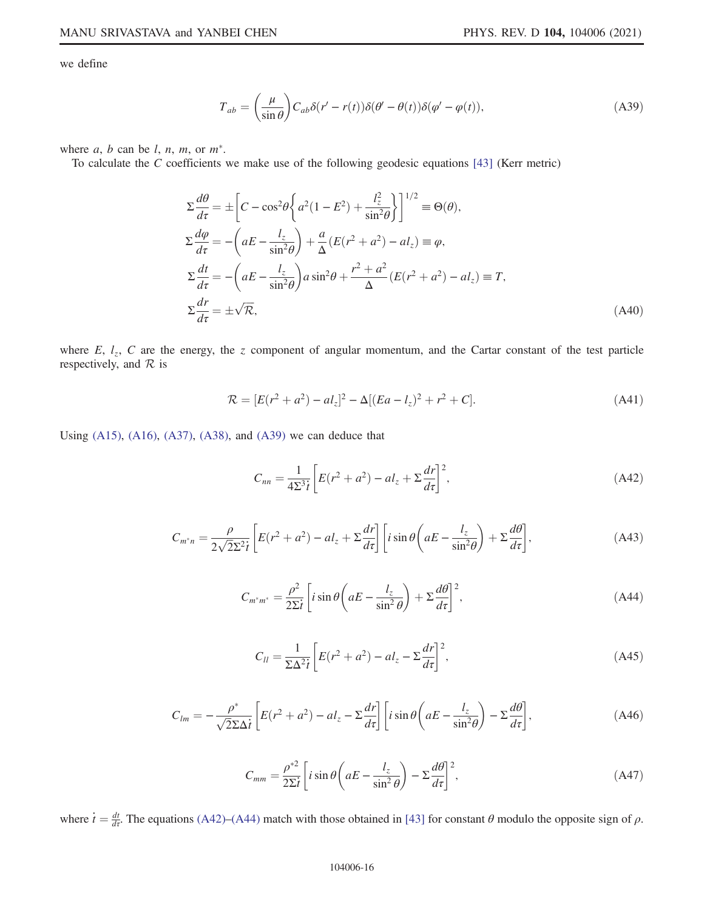<span id="page-15-0"></span>we define

$$
T_{ab} = \left(\frac{\mu}{\sin \theta}\right) C_{ab} \delta(r' - r(t)) \delta(\theta' - \theta(t)) \delta(\varphi' - \varphi(t)),\tag{A39}
$$

where  $a, b$  can be  $l, n, m$ , or  $m^*$ .

To calculate the C coefficients we make use of the following geodesic equations [[43](#page-19-14)] (Kerr metric)

$$
\Sigma \frac{d\theta}{d\tau} = \pm \left[ C - \cos^2 \theta \left\{ a^2 (1 - E^2) + \frac{l_z^2}{\sin^2 \theta} \right\} \right]^{1/2} \equiv \Theta(\theta),
$$
  
\n
$$
\Sigma \frac{d\phi}{d\tau} = -\left( aE - \frac{l_z}{\sin^2 \theta} \right) + \frac{a}{\Delta} (E(r^2 + a^2) - al_z) \equiv \varphi,
$$
  
\n
$$
\Sigma \frac{dt}{d\tau} = -\left( aE - \frac{l_z}{\sin^2 \theta} \right) a \sin^2 \theta + \frac{r^2 + a^2}{\Delta} (E(r^2 + a^2) - al_z) \equiv T,
$$
  
\n
$$
\Sigma \frac{dr}{d\tau} = \pm \sqrt{\mathcal{R}},
$$
\n(A40)

<span id="page-15-1"></span>where  $E$ ,  $l_z$ ,  $C$  are the energy, the z component of angular momentum, and the Cartar constant of the test particle respectively, and  $\mathcal R$  is

$$
\mathcal{R} = [E(r^2 + a^2) - al_z]^2 - \Delta[(Ea - l_z)^2 + r^2 + C].
$$
\n(A41)

<span id="page-15-2"></span>Using [\(A15\)](#page-13-0), [\(A16\)](#page-13-1), [\(A37\),](#page-14-1) [\(A38\),](#page-14-2) and [\(A39\)](#page-15-0) we can deduce that

$$
C_{nn} = \frac{1}{4\Sigma^3 \dot{t}} \left[ E(r^2 + a^2) - al_z + \Sigma \frac{dr}{d\tau} \right]^2,
$$
 (A42)

$$
C_{m^*n} = \frac{\rho}{2\sqrt{2\Sigma^2 t}} \left[ E(r^2 + a^2) - al_z + \Sigma \frac{dr}{d\tau} \right] \left[ i \sin \theta \left( aE - \frac{l_z}{\sin^2 \theta} \right) + \Sigma \frac{d\theta}{d\tau} \right],\tag{A43}
$$

$$
C_{m^*m^*} = \frac{\rho^2}{2\Sigma t} \left[ i \sin \theta \left( aE - \frac{l_z}{\sin^2 \theta} \right) + \Sigma \frac{d\theta}{d\tau} \right]^2, \tag{A44}
$$

$$
C_{ll} = \frac{1}{\Sigma \Delta^2 \dot{t}} \left[ E(r^2 + a^2) - al_z - \Sigma \frac{dr}{d\tau} \right]^2, \tag{A45}
$$

$$
C_{lm} = -\frac{\rho^*}{\sqrt{2\Sigma\Delta t}} \left[ E(r^2 + a^2) - al_z - \Sigma \frac{dr}{d\tau} \right] \left[ i \sin \theta \left( aE - \frac{l_z}{\sin^2 \theta} \right) - \Sigma \frac{d\theta}{d\tau} \right],\tag{A46}
$$

$$
C_{mm} = \frac{\rho^{*2}}{2\Sigma t} \left[ i \sin \theta \left( aE - \frac{l_z}{\sin^2 \theta} \right) - \Sigma \frac{d\theta}{d\tau} \right]^2, \tag{A47}
$$

where  $\dot{t} = \frac{dt}{dt}$ . The equations [\(A42\)](#page-15-1)–[\(A44\)](#page-15-2) match with those obtained in [[43](#page-19-14)] for constant  $\theta$  modulo the opposite sign of  $\rho$ .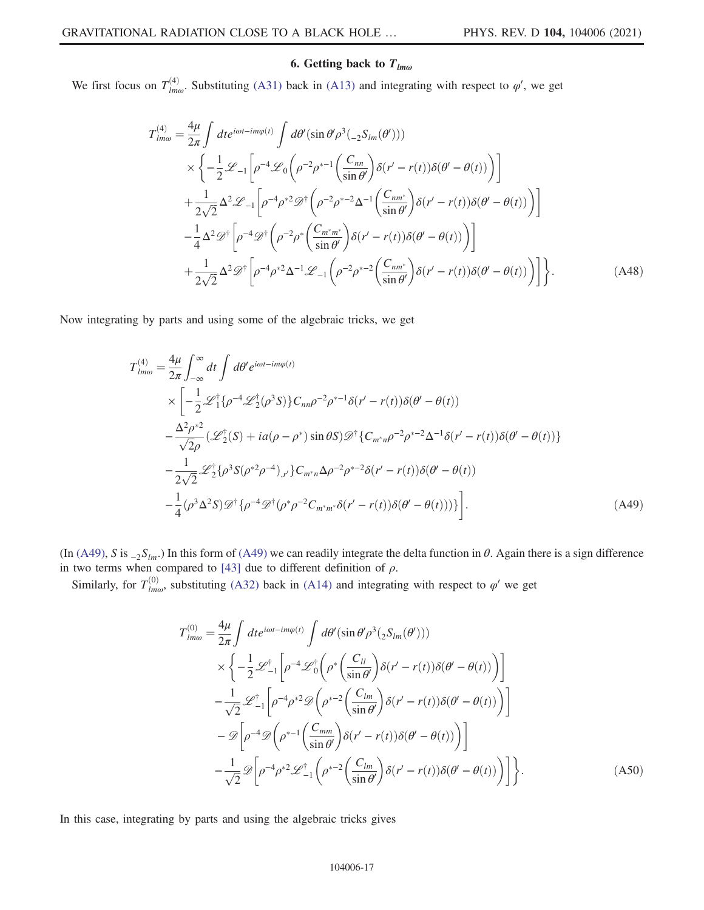# 6. Getting back to  $T_{lm\omega}$

We first focus on  $T_{lm\omega}^{(4)}$ . Substituting [\(A31\)](#page-14-3) back in [\(A13\)](#page-12-10) and integrating with respect to  $\varphi'$ , we get

$$
T_{lm\omega}^{(4)} = \frac{4\mu}{2\pi} \int dt e^{i\omega t - im\varphi(t)} \int d\theta' (\sin \theta' \rho^3 (_{-2}S_{lm}(\theta'))
$$
  
\n
$$
\times \left\{ -\frac{1}{2} \mathcal{L}_{-1} \left[ \rho^{-4} \mathcal{L}_0 \left( \rho^{-2} \rho^{*-1} \left( \frac{C_{nn}}{\sin \theta'} \right) \delta(r' - r(t)) \delta(\theta' - \theta(t)) \right) \right] \right. \n+ \frac{1}{2\sqrt{2}} \Delta^2 \mathcal{L}_{-1} \left[ \rho^{-4} \rho^{*2} \mathcal{D}^{\dagger} \left( \rho^{-2} \rho^{*-2} \Delta^{-1} \left( \frac{C_{nm^*}}{\sin \theta'} \right) \delta(r' - r(t)) \delta(\theta' - \theta(t)) \right) \right] \n- \frac{1}{4} \Delta^2 \mathcal{D}^{\dagger} \left[ \rho^{-4} \mathcal{D}^{\dagger} \left( \rho^{-2} \rho^{*} \left( \frac{C_{m^*m^*}}{\sin \theta'} \right) \delta(r' - r(t)) \delta(\theta' - \theta(t)) \right) \right] \n+ \frac{1}{2\sqrt{2}} \Delta^2 \mathcal{D}^{\dagger} \left[ \rho^{-4} \rho^{*2} \Delta^{-1} \mathcal{L}_{-1} \left( \rho^{-2} \rho^{*-2} \left( \frac{C_{nm^*}}{\sin \theta'} \right) \delta(r' - r(t)) \delta(\theta' - \theta(t)) \right) \right] \right\}. \tag{A48}
$$

<span id="page-16-0"></span>Now integrating by parts and using some of the algebraic tricks, we get

$$
T_{lm\omega}^{(4)} = \frac{4\mu}{2\pi} \int_{-\infty}^{\infty} dt \int d\theta' e^{i\omega t - im\varphi(t)}
$$
  
\n
$$
\times \left[ -\frac{1}{2} \mathcal{L}_1^{\dagger} \{ \rho^{-4} \mathcal{L}_2^{\dagger} (\rho^3 S) \} C_{nn} \rho^{-2} \rho^{*-1} \delta(r' - r(t)) \delta(\theta' - \theta(t)) \right.
$$
  
\n
$$
- \frac{\Delta^2 \rho^{*2}}{\sqrt{2} \rho} (\mathcal{L}_2^{\dagger} (S) + ia(\rho - \rho^*) \sin \theta S) \mathcal{D}^{\dagger} \{ C_{m^*n} \rho^{-2} \rho^{*-2} \Delta^{-1} \delta(r' - r(t)) \delta(\theta' - \theta(t)) \}
$$
  
\n
$$
- \frac{1}{2\sqrt{2}} \mathcal{L}_2^{\dagger} \{ \rho^3 S(\rho^{*2} \rho^{-4})_{r'} \} C_{m^*n} \Delta \rho^{-2} \rho^{*-2} \delta(r' - r(t)) \delta(\theta' - \theta(t))
$$
  
\n
$$
- \frac{1}{4} (\rho^3 \Delta^2 S) \mathcal{D}^{\dagger} \{ \rho^{-4} \mathcal{D}^{\dagger} (\rho^* \rho^{-2} C_{m^*m^*} \delta(r' - r(t)) \delta(\theta' - \theta(t))) \} \right].
$$
 (A49)

(In [\(A49\)](#page-16-0), S is  ${}_{-2}S_{lm}$ .) In this form of (A49) we can readily integrate the delta function in  $\theta$ . Again there is a sign difference in two terms when compared to [[43](#page-19-14)] due to different definition of  $\rho$ .

Similarly, for  $T_{lm\omega}^{(0)}$ , substituting [\(A32\)](#page-14-4) back in [\(A14\)](#page-12-11) and integrating with respect to  $\varphi'$  we get

$$
T_{lm\omega}^{(0)} = \frac{4\mu}{2\pi} \int dt e^{i\omega t - im\varphi(t)} \int d\theta' (\sin \theta' \rho^3 (2S_{lm}(\theta')))
$$
  
\n
$$
\times \left\{ -\frac{1}{2} \mathcal{L}_{-1}^{\dagger} \left[ \rho^{-4} \mathcal{L}_0^{\dagger} \left( \rho^* \left( \frac{C_{ll}}{\sin \theta'} \right) \delta(r' - r(t)) \delta(\theta' - \theta(t)) \right) \right] - \frac{1}{\sqrt{2}} \mathcal{L}_{-1}^{\dagger} \left[ \rho^{-4} \rho^{*2} \mathcal{D} \left( \rho^{*-2} \left( \frac{C_{lm}}{\sin \theta'} \right) \delta(r' - r(t)) \delta(\theta' - \theta(t)) \right) \right] - \mathcal{D} \left[ \rho^{-4} \mathcal{D} \left( \rho^{*-1} \left( \frac{C_{lm}}{\sin \theta'} \right) \delta(r' - r(t)) \delta(\theta' - \theta(t)) \right) \right] - \frac{1}{\sqrt{2}} \mathcal{D} \left[ \rho^{-4} \rho^{*2} \mathcal{L}_{-1}^{\dagger} \left( \rho^{*-2} \left( \frac{C_{lm}}{\sin \theta'} \right) \delta(r' - r(t)) \delta(\theta' - \theta(t)) \right) \right] \right\}.
$$
 (A50)

<span id="page-16-1"></span>In this case, integrating by parts and using the algebraic tricks gives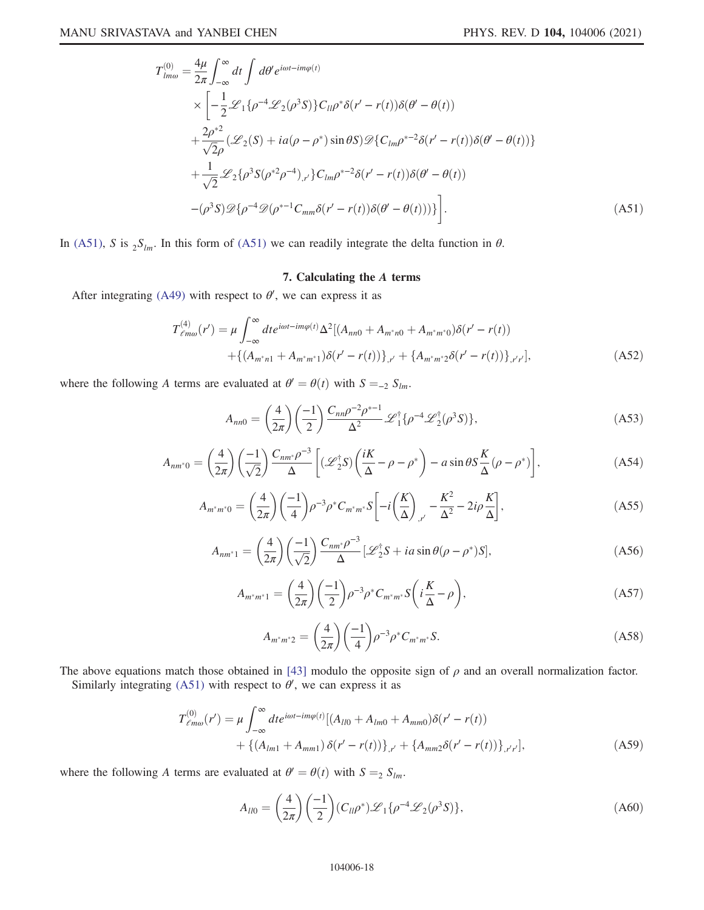$$
T_{lm\omega}^{(0)} = \frac{4\mu}{2\pi} \int_{-\infty}^{\infty} dt \int d\theta' e^{i\omega t - im\varphi(t)}
$$
  
\n
$$
\times \left[ -\frac{1}{2} \mathcal{L}_1 \{ \rho^{-4} \mathcal{L}_2 (\rho^3 S) \} C_{ll} \rho^* \delta(r' - r(t)) \delta(\theta' - \theta(t)) \right.
$$
  
\n
$$
+ \frac{2\rho^{*2}}{\sqrt{2}\rho} (\mathcal{L}_2 (S) + ia(\rho - \rho^*) \sin \theta S) \mathcal{D} \{ C_{lm} \rho^{*-2} \delta(r' - r(t)) \delta(\theta' - \theta(t)) \}
$$
  
\n
$$
+ \frac{1}{\sqrt{2}} \mathcal{L}_2 \{ \rho^3 S(\rho^{*2} \rho^{-4})_{,r'} \} C_{lm} \rho^{*-2} \delta(r' - r(t)) \delta(\theta' - \theta(t))
$$
  
\n
$$
- (\rho^3 S) \mathcal{D} \{ \rho^{-4} \mathcal{D}(\rho^{*-1} C_{mm} \delta(r' - r(t)) \delta(\theta' - \theta(t))) \} \right].
$$
 (A51)

In [\(A51\)](#page-16-1), S is  ${}_{2}S_{lm}$ . In this form of (A51) we can readily integrate the delta function in  $\theta$ .

# 7. Calculating the A terms

After integrating [\(A49\)](#page-16-0) with respect to  $\theta'$ , we can express it as

$$
T_{\ell m\omega}^{(4)}(r') = \mu \int_{-\infty}^{\infty} dt e^{i\omega t - im\varphi(t)} \Delta^2 \left[ (A_{nn0} + A_{m^*n0} + A_{m^*m^*0}) \delta(r' - r(t)) \right. \\ \left. + \left\{ (A_{m^*n1} + A_{m^*m^*1}) \delta(r' - r(t)) \right\}_{r'} + \left\{ A_{m^*m^*2} \delta(r' - r(t)) \right\}_{r'r'} \right], \tag{A52}
$$

where the following A terms are evaluated at  $\theta' = \theta(t)$  with  $S =_{-2} S_{lm}$ .

$$
A_{nn0} = \left(\frac{4}{2\pi}\right) \left(\frac{-1}{2}\right) \frac{C_{nn}\rho^{-2}\rho^{*-1}}{\Delta^2} \mathcal{L}_1^{\dagger} \{\rho^{-4} \mathcal{L}_2^{\dagger}(\rho^3 S)\},\tag{A53}
$$

$$
A_{nm^*0} = \left(\frac{4}{2\pi}\right) \left(\frac{-1}{\sqrt{2}}\right) \frac{C_{nm^*} \rho^{-3}}{\Delta} \left[ (\mathscr{L}_2^{\dagger} S) \left(\frac{iK}{\Delta} - \rho - \rho^* \right) - a \sin \theta S \frac{K}{\Delta} (\rho - \rho^*) \right],\tag{A54}
$$

$$
A_{m^*m^*0} = \left(\frac{4}{2\pi}\right) \left(\frac{-1}{4}\right) \rho^{-3} \rho^* C_{m^*m^*} S \left[-i\left(\frac{K}{\Delta}\right)_{,r'} - \frac{K^2}{\Delta^2} - 2i\rho \frac{K}{\Delta}\right],\tag{A55}
$$

$$
A_{nm^*1} = \left(\frac{4}{2\pi}\right) \left(\frac{-1}{\sqrt{2}}\right) \frac{C_{nm^*} \rho^{-3}}{\Delta} \left[\mathcal{L}_2^{\dagger} S + ia \sin \theta (\rho - \rho^*) S\right],\tag{A56}
$$

$$
A_{m^*m^*1} = \left(\frac{4}{2\pi}\right) \left(\frac{-1}{2}\right) \rho^{-3} \rho^* C_{m^*m^*} S\left(i\frac{K}{\Delta} - \rho\right),\tag{A57}
$$

$$
A_{m^*m^*2} = \left(\frac{4}{2\pi}\right) \left(\frac{-1}{4}\right) \rho^{-3} \rho^* C_{m^*m^*} S. \tag{A58}
$$

<span id="page-17-0"></span>The above equations match those obtained in [[43](#page-19-14)] modulo the opposite sign of  $\rho$  and an overall normalization factor.

Similarly integrating [\(A51\)](#page-16-1) with respect to  $\theta'$ , we can express it as

$$
T^{(0)}_{\ell m\omega}(r') = \mu \int_{-\infty}^{\infty} dt e^{i\omega t - im\varphi(t)} [(A_{ll0} + A_{lm0} + A_{mm0})\delta(r' - r(t)) + \{(A_{lm1} + A_{mm1})\delta(r' - r(t))\}_{,r'} + \{A_{mm2}\delta(r' - r(t))\}_{,r'r}],
$$
\n(A59)

where the following A terms are evaluated at  $\theta' = \theta(t)$  with  $S =_2 S_{lm}$ .

$$
A_{ll0} = \left(\frac{4}{2\pi}\right) \left(\frac{-1}{2}\right) \left(C_{ll}\rho^*\right) \mathcal{L}_1\{\rho^{-4} \mathcal{L}_2(\rho^3 S)\},\tag{A60}
$$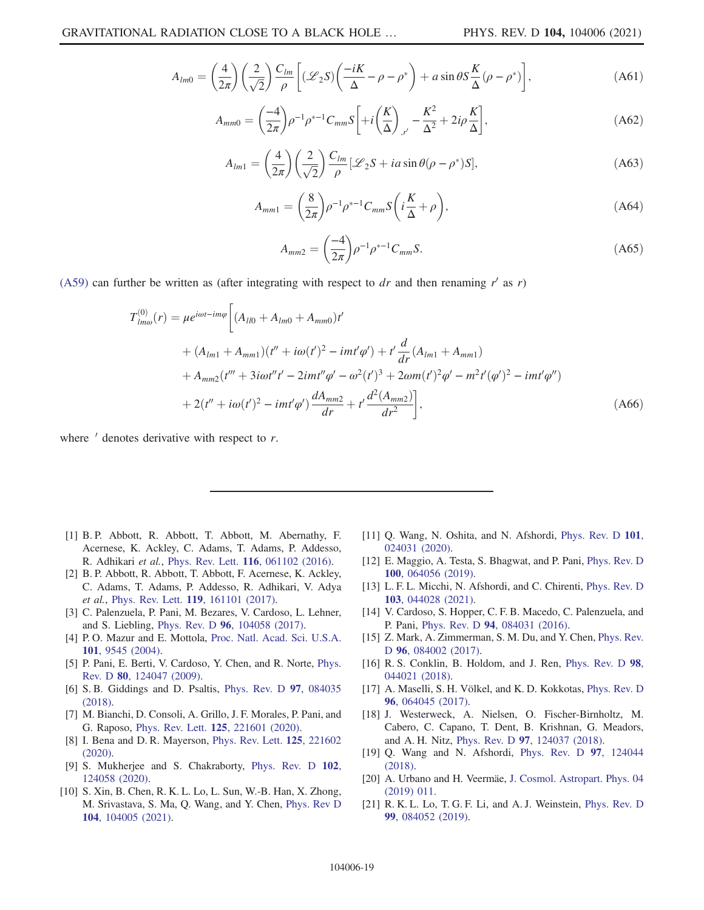$$
A_{lm0} = \left(\frac{4}{2\pi}\right) \left(\frac{2}{\sqrt{2}}\right) \frac{C_{lm}}{\rho} \left[ \left(\mathcal{L}_2 S\right) \left(\frac{-iK}{\Delta} - \rho - \rho^*\right) + a\sin\theta S \frac{K}{\Delta} (\rho - \rho^*) \right],\tag{A61}
$$

$$
A_{mm0} = \left(\frac{-4}{2\pi}\right)\rho^{-1}\rho^{*-1}C_{mm}S\bigg[ + i\left(\frac{K}{\Delta}\right)_{,r'} - \frac{K^2}{\Delta^2} + 2i\rho\frac{K}{\Delta} \bigg],\tag{A62}
$$

$$
A_{lm1} = \left(\frac{4}{2\pi}\right) \left(\frac{2}{\sqrt{2}}\right) \frac{C_{lm}}{\rho} \left[\mathcal{L}_2 S + ia \sin \theta (\rho - \rho^*) S\right],\tag{A63}
$$

$$
A_{mm1} = \left(\frac{8}{2\pi}\right)\rho^{-1}\rho^{*-1}C_{mm}S\left(i\frac{K}{\Delta} + \rho\right),\tag{A64}
$$

$$
A_{mm2} = \left(\frac{-4}{2\pi}\right)\rho^{-1}\rho^{*-1}C_{mm}S. \tag{A65}
$$

[\(A59\)](#page-17-0) can further be written as (after integrating with respect to dr and then renaming r' as r)

$$
T_{lm\omega}^{(0)}(r) = \mu e^{i\omega t - im\varphi} \left[ (A_{ll0} + A_{lm0} + A_{mm0})t' + (A_{lm1} + A_{mm1})(t'' + i\omega(t')^2 - imt'\varphi') + t'\frac{d}{dr}(A_{lm1} + A_{mm1}) + A_{mm2}(t''' + 3i\omega t''t' - 2imt''\varphi' - \omega^2(t')^3 + 2\omega m(t')^2\varphi' - m^2t'(\varphi')^2 - imt'\varphi'') + 2(t'' + i\omega(t')^2 - imt'\varphi')\frac{dA_{mm2}}{dr} + t'\frac{d^2(A_{mm2})}{dr^2} \right],
$$
\n(A66)

where  $\prime$  denotes derivative with respect to r.

- <span id="page-18-0"></span>[1] B. P. Abbott, R. Abbott, T. Abbott, M. Abernathy, F. Acernese, K. Ackley, C. Adams, T. Adams, P. Addesso, R. Adhikari et al., Phys. Rev. Lett. 116[, 061102 \(2016\)](https://doi.org/10.1103/PhysRevLett.116.061102).
- <span id="page-18-1"></span>[2] B. P. Abbott, R. Abbott, T. Abbott, F. Acernese, K. Ackley, C. Adams, T. Adams, P. Addesso, R. Adhikari, V. Adya et al., Phys. Rev. Lett. 119[, 161101 \(2017\)](https://doi.org/10.1103/PhysRevLett.119.161101).
- <span id="page-18-2"></span>[3] C. Palenzuela, P. Pani, M. Bezares, V. Cardoso, L. Lehner, and S. Liebling, Phys. Rev. D 96[, 104058 \(2017\)](https://doi.org/10.1103/PhysRevD.96.104058).
- [4] P. O. Mazur and E. Mottola, [Proc. Natl. Acad. Sci. U.S.A.](https://doi.org/10.1073/pnas.0402717101) 101[, 9545 \(2004\)](https://doi.org/10.1073/pnas.0402717101).
- [5] P. Pani, E. Berti, V. Cardoso, Y. Chen, and R. Norte, [Phys.](https://doi.org/10.1103/PhysRevD.80.124047) Rev. D 80[, 124047 \(2009\)](https://doi.org/10.1103/PhysRevD.80.124047).
- [6] S. B. Giddings and D. Psaltis, [Phys. Rev. D](https://doi.org/10.1103/PhysRevD.97.084035) 97, 084035 [\(2018\).](https://doi.org/10.1103/PhysRevD.97.084035)
- [7] M. Bianchi, D. Consoli, A. Grillo, J. F. Morales, P. Pani, and G. Raposo, Phys. Rev. Lett. 125[, 221601 \(2020\).](https://doi.org/10.1103/PhysRevLett.125.221601)
- [8] I. Bena and D. R. Mayerson, [Phys. Rev. Lett.](https://doi.org/10.1103/PhysRevLett.125.221602) 125, 221602 [\(2020\).](https://doi.org/10.1103/PhysRevLett.125.221602)
- <span id="page-18-3"></span>[9] S. Mukherjee and S. Chakraborty, [Phys. Rev. D](https://doi.org/10.1103/PhysRevD.102.124058) 102, [124058 \(2020\).](https://doi.org/10.1103/PhysRevD.102.124058)
- <span id="page-18-4"></span>[10] S. Xin, B. Chen, R. K. L. Lo, L. Sun, W.-B. Han, X. Zhong, M. Srivastava, S. Ma, Q. Wang, and Y. Chen, [Phys. Rev D](https://doi.org/10.1103/PhysRevD.104.104005) 104[, 104005 \(2021\).](https://doi.org/10.1103/PhysRevD.104.104005)
- <span id="page-18-6"></span>[11] Q. Wang, N. Oshita, and N. Afshordi, [Phys. Rev. D](https://doi.org/10.1103/PhysRevD.101.024031) 101, [024031 \(2020\).](https://doi.org/10.1103/PhysRevD.101.024031)
- [12] E. Maggio, A. Testa, S. Bhagwat, and P. Pani, [Phys. Rev. D](https://doi.org/10.1103/PhysRevD.100.064056) 100[, 064056 \(2019\).](https://doi.org/10.1103/PhysRevD.100.064056)
- <span id="page-18-5"></span>[13] L. F. L. Micchi, N. Afshordi, and C. Chirenti, [Phys. Rev. D](https://doi.org/10.1103/PhysRevD.103.044028) 103[, 044028 \(2021\).](https://doi.org/10.1103/PhysRevD.103.044028)
- [14] V. Cardoso, S. Hopper, C. F. B. Macedo, C. Palenzuela, and P. Pani, Phys. Rev. D 94[, 084031 \(2016\).](https://doi.org/10.1103/PhysRevD.94.084031)
- [15] Z. Mark, A. Zimmerman, S. M. Du, and Y. Chen, [Phys. Rev.](https://doi.org/10.1103/PhysRevD.96.084002) D 96[, 084002 \(2017\)](https://doi.org/10.1103/PhysRevD.96.084002).
- [16] R. S. Conklin, B. Holdom, and J. Ren, [Phys. Rev. D](https://doi.org/10.1103/PhysRevD.98.044021) 98, [044021 \(2018\).](https://doi.org/10.1103/PhysRevD.98.044021)
- [17] A. Maselli, S. H. Völkel, and K. D. Kokkotas, [Phys. Rev. D](https://doi.org/10.1103/PhysRevD.96.064045) 96[, 064045 \(2017\).](https://doi.org/10.1103/PhysRevD.96.064045)
- [18] J. Westerweck, A. Nielsen, O. Fischer-Birnholtz, M. Cabero, C. Capano, T. Dent, B. Krishnan, G. Meadors, and A. H. Nitz, Phys. Rev. D 97[, 124037 \(2018\).](https://doi.org/10.1103/PhysRevD.97.124037)
- [19] Q. Wang and N. Afshordi, [Phys. Rev. D](https://doi.org/10.1103/PhysRevD.97.124044) 97, 124044 [\(2018\).](https://doi.org/10.1103/PhysRevD.97.124044)
- [20] A. Urbano and H. Veermäe, [J. Cosmol. Astropart. Phys. 04](https://doi.org/10.1088/1475-7516/2019/04/011) [\(2019\) 011.](https://doi.org/10.1088/1475-7516/2019/04/011)
- [21] R. K. L. Lo, T. G. F. Li, and A. J. Weinstein, [Phys. Rev. D](https://doi.org/10.1103/PhysRevD.99.084052) 99[, 084052 \(2019\).](https://doi.org/10.1103/PhysRevD.99.084052)